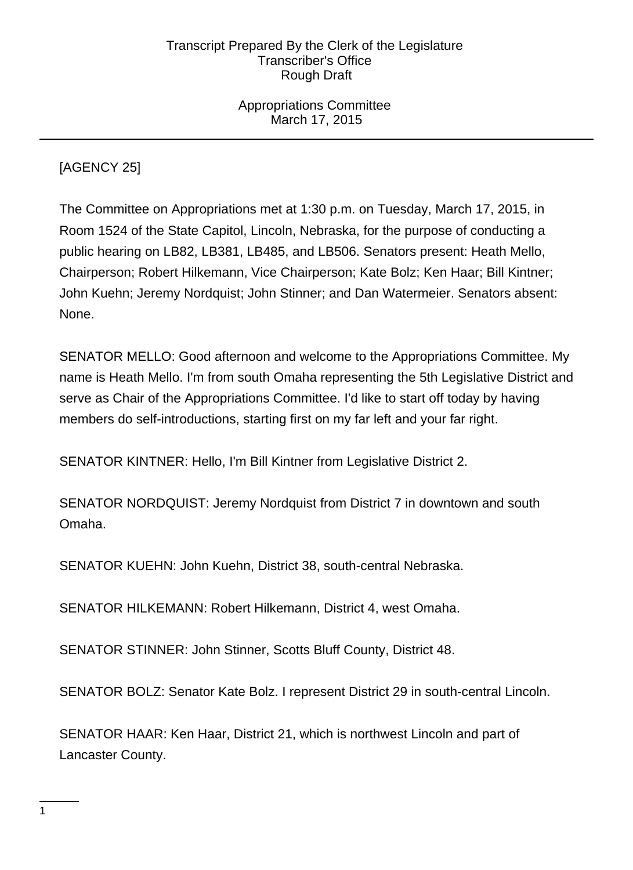Appropriations Committee March 17, 2015

[AGENCY 25]

The Committee on Appropriations met at 1:30 p.m. on Tuesday, March 17, 2015, in Room 1524 of the State Capitol, Lincoln, Nebraska, for the purpose of conducting a public hearing on LB82, LB381, LB485, and LB506. Senators present: Heath Mello, Chairperson; Robert Hilkemann, Vice Chairperson; Kate Bolz; Ken Haar; Bill Kintner; John Kuehn; Jeremy Nordquist; John Stinner; and Dan Watermeier. Senators absent: None.

SENATOR MELLO: Good afternoon and welcome to the Appropriations Committee. My name is Heath Mello. I'm from south Omaha representing the 5th Legislative District and serve as Chair of the Appropriations Committee. I'd like to start off today by having members do self-introductions, starting first on my far left and your far right.

SENATOR KINTNER: Hello, I'm Bill Kintner from Legislative District 2.

SENATOR NORDQUIST: Jeremy Nordquist from District 7 in downtown and south Omaha.

SENATOR KUEHN: John Kuehn, District 38, south-central Nebraska.

SENATOR HILKEMANN: Robert Hilkemann, District 4, west Omaha.

SENATOR STINNER: John Stinner, Scotts Bluff County, District 48.

SENATOR BOLZ: Senator Kate Bolz. I represent District 29 in south-central Lincoln.

SENATOR HAAR: Ken Haar, District 21, which is northwest Lincoln and part of Lancaster County.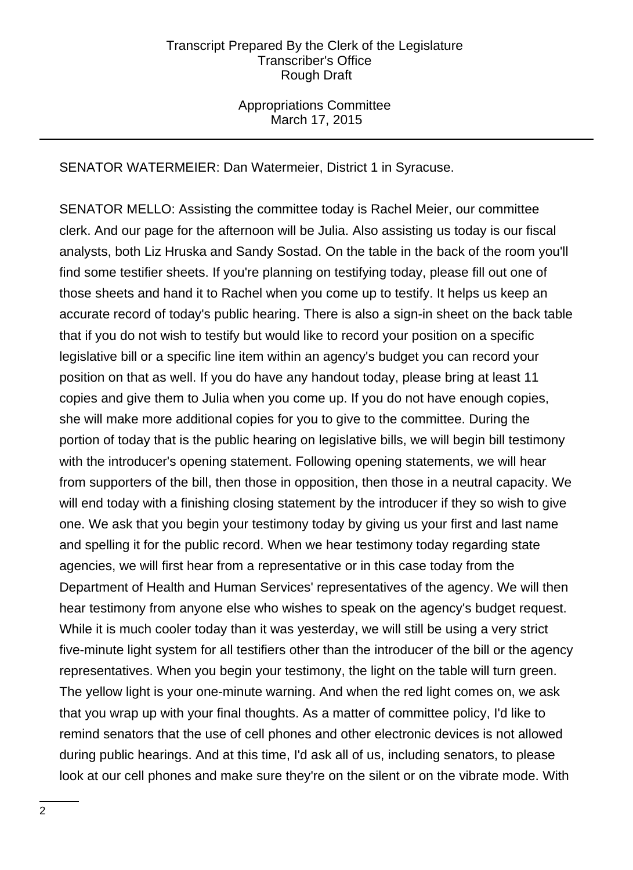# Appropriations Committee March 17, 2015

SENATOR WATERMEIER: Dan Watermeier, District 1 in Syracuse.

SENATOR MELLO: Assisting the committee today is Rachel Meier, our committee clerk. And our page for the afternoon will be Julia. Also assisting us today is our fiscal analysts, both Liz Hruska and Sandy Sostad. On the table in the back of the room you'll find some testifier sheets. If you're planning on testifying today, please fill out one of those sheets and hand it to Rachel when you come up to testify. It helps us keep an accurate record of today's public hearing. There is also a sign-in sheet on the back table that if you do not wish to testify but would like to record your position on a specific legislative bill or a specific line item within an agency's budget you can record your position on that as well. If you do have any handout today, please bring at least 11 copies and give them to Julia when you come up. If you do not have enough copies, she will make more additional copies for you to give to the committee. During the portion of today that is the public hearing on legislative bills, we will begin bill testimony with the introducer's opening statement. Following opening statements, we will hear from supporters of the bill, then those in opposition, then those in a neutral capacity. We will end today with a finishing closing statement by the introducer if they so wish to give one. We ask that you begin your testimony today by giving us your first and last name and spelling it for the public record. When we hear testimony today regarding state agencies, we will first hear from a representative or in this case today from the Department of Health and Human Services' representatives of the agency. We will then hear testimony from anyone else who wishes to speak on the agency's budget request. While it is much cooler today than it was yesterday, we will still be using a very strict five-minute light system for all testifiers other than the introducer of the bill or the agency representatives. When you begin your testimony, the light on the table will turn green. The yellow light is your one-minute warning. And when the red light comes on, we ask that you wrap up with your final thoughts. As a matter of committee policy, I'd like to remind senators that the use of cell phones and other electronic devices is not allowed during public hearings. And at this time, I'd ask all of us, including senators, to please look at our cell phones and make sure they're on the silent or on the vibrate mode. With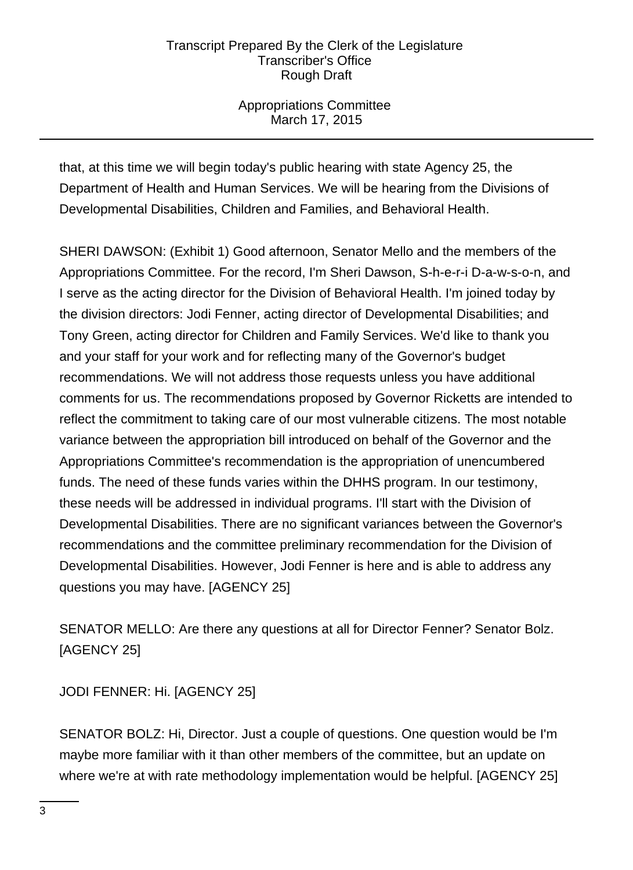Appropriations Committee March 17, 2015

that, at this time we will begin today's public hearing with state Agency 25, the Department of Health and Human Services. We will be hearing from the Divisions of Developmental Disabilities, Children and Families, and Behavioral Health.

SHERI DAWSON: (Exhibit 1) Good afternoon, Senator Mello and the members of the Appropriations Committee. For the record, I'm Sheri Dawson, S-h-e-r-i D-a-w-s-o-n, and I serve as the acting director for the Division of Behavioral Health. I'm joined today by the division directors: Jodi Fenner, acting director of Developmental Disabilities; and Tony Green, acting director for Children and Family Services. We'd like to thank you and your staff for your work and for reflecting many of the Governor's budget recommendations. We will not address those requests unless you have additional comments for us. The recommendations proposed by Governor Ricketts are intended to reflect the commitment to taking care of our most vulnerable citizens. The most notable variance between the appropriation bill introduced on behalf of the Governor and the Appropriations Committee's recommendation is the appropriation of unencumbered funds. The need of these funds varies within the DHHS program. In our testimony, these needs will be addressed in individual programs. I'll start with the Division of Developmental Disabilities. There are no significant variances between the Governor's recommendations and the committee preliminary recommendation for the Division of Developmental Disabilities. However, Jodi Fenner is here and is able to address any questions you may have. [AGENCY 25]

SENATOR MELLO: Are there any questions at all for Director Fenner? Senator Bolz. [AGENCY 25]

JODI FENNER: Hi. [AGENCY 25]

SENATOR BOLZ: Hi, Director. Just a couple of questions. One question would be I'm maybe more familiar with it than other members of the committee, but an update on where we're at with rate methodology implementation would be helpful. [AGENCY 25]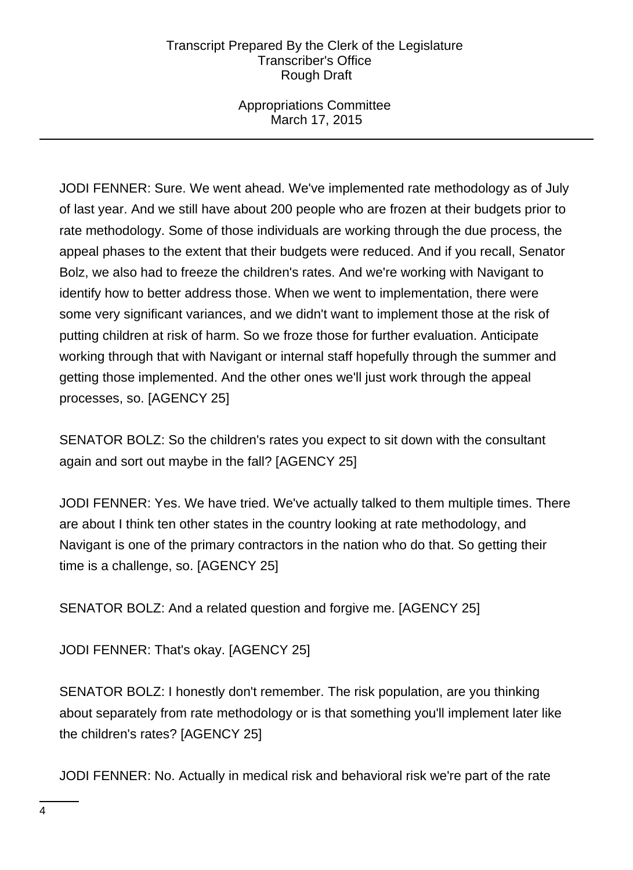Appropriations Committee March 17, 2015

JODI FENNER: Sure. We went ahead. We've implemented rate methodology as of July of last year. And we still have about 200 people who are frozen at their budgets prior to rate methodology. Some of those individuals are working through the due process, the appeal phases to the extent that their budgets were reduced. And if you recall, Senator Bolz, we also had to freeze the children's rates. And we're working with Navigant to identify how to better address those. When we went to implementation, there were some very significant variances, and we didn't want to implement those at the risk of putting children at risk of harm. So we froze those for further evaluation. Anticipate working through that with Navigant or internal staff hopefully through the summer and getting those implemented. And the other ones we'll just work through the appeal processes, so. [AGENCY 25]

SENATOR BOLZ: So the children's rates you expect to sit down with the consultant again and sort out maybe in the fall? [AGENCY 25]

JODI FENNER: Yes. We have tried. We've actually talked to them multiple times. There are about I think ten other states in the country looking at rate methodology, and Navigant is one of the primary contractors in the nation who do that. So getting their time is a challenge, so. [AGENCY 25]

SENATOR BOLZ: And a related question and forgive me. [AGENCY 25]

JODI FENNER: That's okay. [AGENCY 25]

SENATOR BOLZ: I honestly don't remember. The risk population, are you thinking about separately from rate methodology or is that something you'll implement later like the children's rates? [AGENCY 25]

JODI FENNER: No. Actually in medical risk and behavioral risk we're part of the rate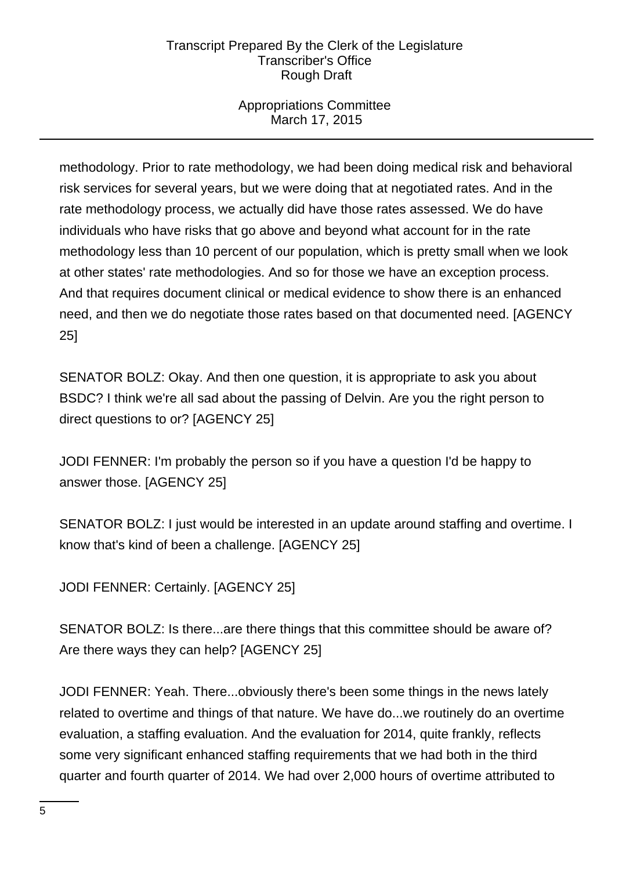# Appropriations Committee March 17, 2015

methodology. Prior to rate methodology, we had been doing medical risk and behavioral risk services for several years, but we were doing that at negotiated rates. And in the rate methodology process, we actually did have those rates assessed. We do have individuals who have risks that go above and beyond what account for in the rate methodology less than 10 percent of our population, which is pretty small when we look at other states' rate methodologies. And so for those we have an exception process. And that requires document clinical or medical evidence to show there is an enhanced need, and then we do negotiate those rates based on that documented need. [AGENCY 25]

SENATOR BOLZ: Okay. And then one question, it is appropriate to ask you about BSDC? I think we're all sad about the passing of Delvin. Are you the right person to direct questions to or? [AGENCY 25]

JODI FENNER: I'm probably the person so if you have a question I'd be happy to answer those. [AGENCY 25]

SENATOR BOLZ: I just would be interested in an update around staffing and overtime. I know that's kind of been a challenge. [AGENCY 25]

JODI FENNER: Certainly. [AGENCY 25]

SENATOR BOLZ: Is there...are there things that this committee should be aware of? Are there ways they can help? [AGENCY 25]

JODI FENNER: Yeah. There...obviously there's been some things in the news lately related to overtime and things of that nature. We have do...we routinely do an overtime evaluation, a staffing evaluation. And the evaluation for 2014, quite frankly, reflects some very significant enhanced staffing requirements that we had both in the third quarter and fourth quarter of 2014. We had over 2,000 hours of overtime attributed to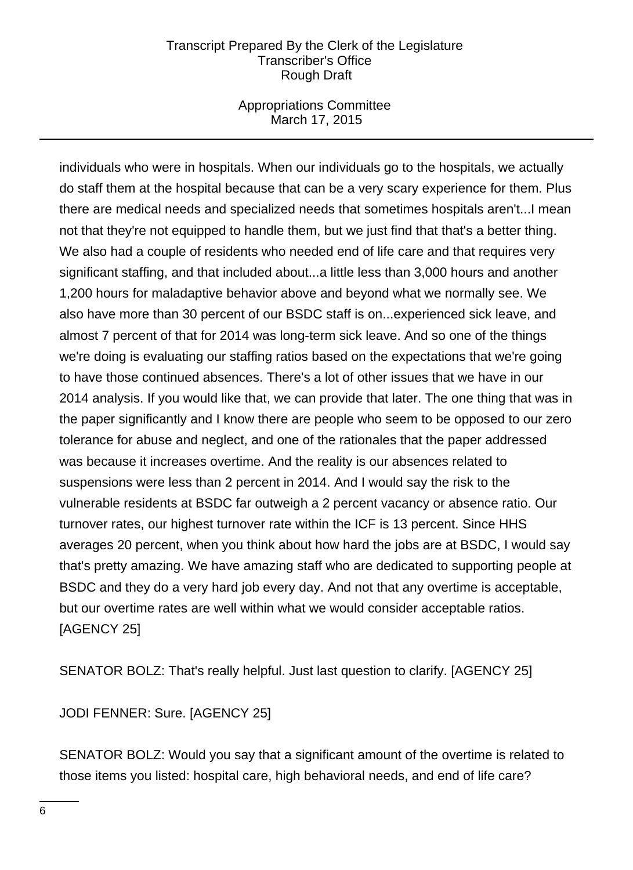## Appropriations Committee March 17, 2015

individuals who were in hospitals. When our individuals go to the hospitals, we actually do staff them at the hospital because that can be a very scary experience for them. Plus there are medical needs and specialized needs that sometimes hospitals aren't...I mean not that they're not equipped to handle them, but we just find that that's a better thing. We also had a couple of residents who needed end of life care and that requires very significant staffing, and that included about...a little less than 3,000 hours and another 1,200 hours for maladaptive behavior above and beyond what we normally see. We also have more than 30 percent of our BSDC staff is on...experienced sick leave, and almost 7 percent of that for 2014 was long-term sick leave. And so one of the things we're doing is evaluating our staffing ratios based on the expectations that we're going to have those continued absences. There's a lot of other issues that we have in our 2014 analysis. If you would like that, we can provide that later. The one thing that was in the paper significantly and I know there are people who seem to be opposed to our zero tolerance for abuse and neglect, and one of the rationales that the paper addressed was because it increases overtime. And the reality is our absences related to suspensions were less than 2 percent in 2014. And I would say the risk to the vulnerable residents at BSDC far outweigh a 2 percent vacancy or absence ratio. Our turnover rates, our highest turnover rate within the ICF is 13 percent. Since HHS averages 20 percent, when you think about how hard the jobs are at BSDC, I would say that's pretty amazing. We have amazing staff who are dedicated to supporting people at BSDC and they do a very hard job every day. And not that any overtime is acceptable, but our overtime rates are well within what we would consider acceptable ratios. [AGENCY 25]

SENATOR BOLZ: That's really helpful. Just last question to clarify. [AGENCY 25]

JODI FENNER: Sure. [AGENCY 25]

SENATOR BOLZ: Would you say that a significant amount of the overtime is related to those items you listed: hospital care, high behavioral needs, and end of life care?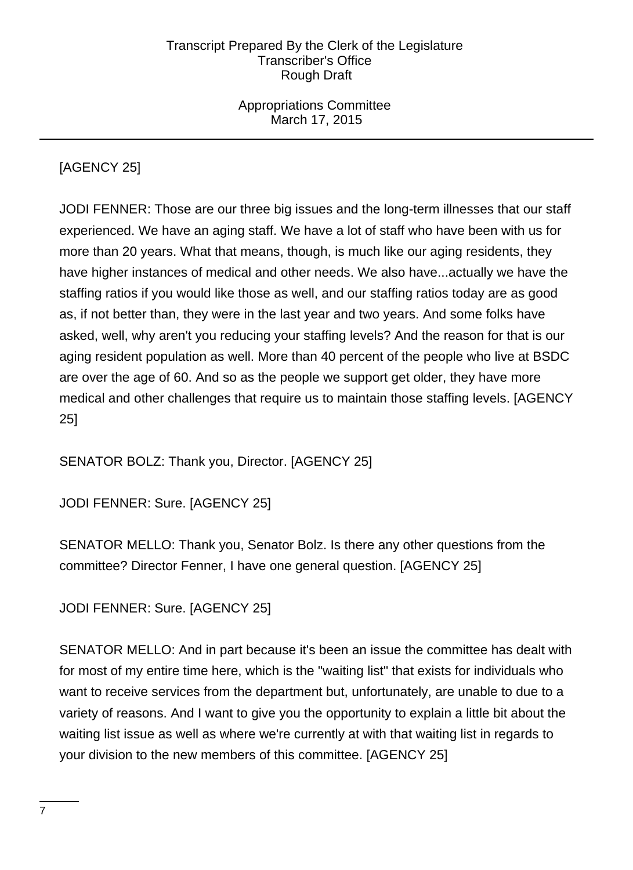Appropriations Committee March 17, 2015

# [AGENCY 25]

JODI FENNER: Those are our three big issues and the long-term illnesses that our staff experienced. We have an aging staff. We have a lot of staff who have been with us for more than 20 years. What that means, though, is much like our aging residents, they have higher instances of medical and other needs. We also have...actually we have the staffing ratios if you would like those as well, and our staffing ratios today are as good as, if not better than, they were in the last year and two years. And some folks have asked, well, why aren't you reducing your staffing levels? And the reason for that is our aging resident population as well. More than 40 percent of the people who live at BSDC are over the age of 60. And so as the people we support get older, they have more medical and other challenges that require us to maintain those staffing levels. [AGENCY 25]

SENATOR BOLZ: Thank you, Director. [AGENCY 25]

JODI FENNER: Sure. [AGENCY 25]

SENATOR MELLO: Thank you, Senator Bolz. Is there any other questions from the committee? Director Fenner, I have one general question. [AGENCY 25]

JODI FENNER: Sure. [AGENCY 25]

SENATOR MELLO: And in part because it's been an issue the committee has dealt with for most of my entire time here, which is the "waiting list" that exists for individuals who want to receive services from the department but, unfortunately, are unable to due to a variety of reasons. And I want to give you the opportunity to explain a little bit about the waiting list issue as well as where we're currently at with that waiting list in regards to your division to the new members of this committee. [AGENCY 25]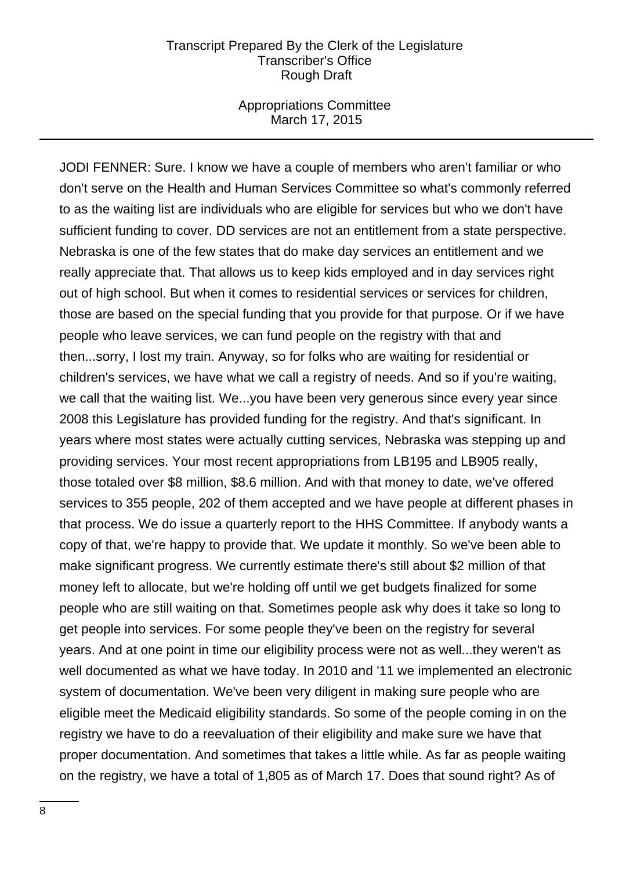#### Appropriations Committee March 17, 2015

JODI FENNER: Sure. I know we have a couple of members who aren't familiar or who don't serve on the Health and Human Services Committee so what's commonly referred to as the waiting list are individuals who are eligible for services but who we don't have sufficient funding to cover. DD services are not an entitlement from a state perspective. Nebraska is one of the few states that do make day services an entitlement and we really appreciate that. That allows us to keep kids employed and in day services right out of high school. But when it comes to residential services or services for children, those are based on the special funding that you provide for that purpose. Or if we have people who leave services, we can fund people on the registry with that and then...sorry, I lost my train. Anyway, so for folks who are waiting for residential or children's services, we have what we call a registry of needs. And so if you're waiting, we call that the waiting list. We...you have been very generous since every year since 2008 this Legislature has provided funding for the registry. And that's significant. In years where most states were actually cutting services, Nebraska was stepping up and providing services. Your most recent appropriations from LB195 and LB905 really, those totaled over \$8 million, \$8.6 million. And with that money to date, we've offered services to 355 people, 202 of them accepted and we have people at different phases in that process. We do issue a quarterly report to the HHS Committee. If anybody wants a copy of that, we're happy to provide that. We update it monthly. So we've been able to make significant progress. We currently estimate there's still about \$2 million of that money left to allocate, but we're holding off until we get budgets finalized for some people who are still waiting on that. Sometimes people ask why does it take so long to get people into services. For some people they've been on the registry for several years. And at one point in time our eligibility process were not as well...they weren't as well documented as what we have today. In 2010 and '11 we implemented an electronic system of documentation. We've been very diligent in making sure people who are eligible meet the Medicaid eligibility standards. So some of the people coming in on the registry we have to do a reevaluation of their eligibility and make sure we have that proper documentation. And sometimes that takes a little while. As far as people waiting on the registry, we have a total of 1,805 as of March 17. Does that sound right? As of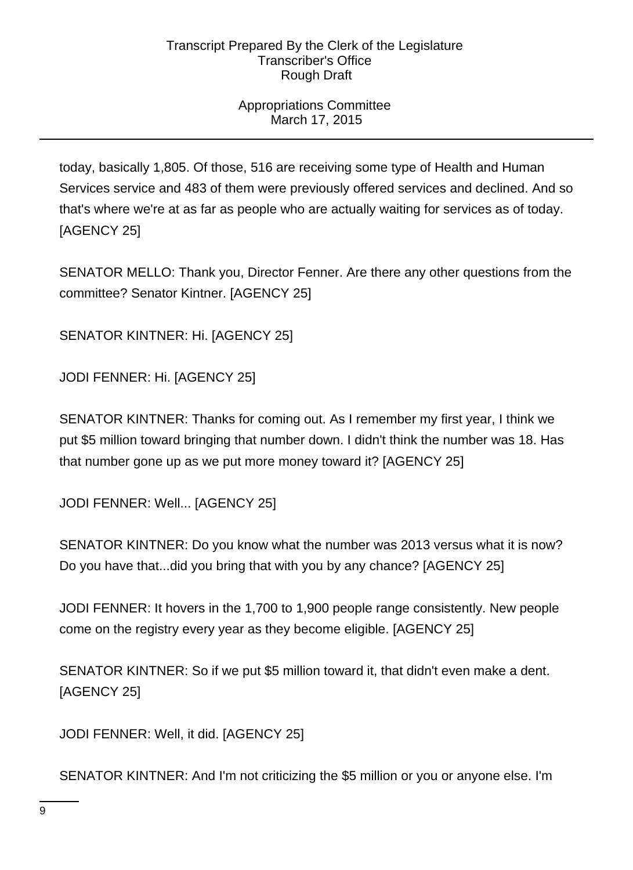# Appropriations Committee March 17, 2015

today, basically 1,805. Of those, 516 are receiving some type of Health and Human Services service and 483 of them were previously offered services and declined. And so that's where we're at as far as people who are actually waiting for services as of today. [AGENCY 25]

SENATOR MELLO: Thank you, Director Fenner. Are there any other questions from the committee? Senator Kintner. [AGENCY 25]

SENATOR KINTNER: Hi. [AGENCY 25]

JODI FENNER: Hi. [AGENCY 25]

SENATOR KINTNER: Thanks for coming out. As I remember my first year, I think we put \$5 million toward bringing that number down. I didn't think the number was 18. Has that number gone up as we put more money toward it? [AGENCY 25]

JODI FENNER: Well... [AGENCY 25]

SENATOR KINTNER: Do you know what the number was 2013 versus what it is now? Do you have that...did you bring that with you by any chance? [AGENCY 25]

JODI FENNER: It hovers in the 1,700 to 1,900 people range consistently. New people come on the registry every year as they become eligible. [AGENCY 25]

SENATOR KINTNER: So if we put \$5 million toward it, that didn't even make a dent. [AGENCY 25]

JODI FENNER: Well, it did. [AGENCY 25]

SENATOR KINTNER: And I'm not criticizing the \$5 million or you or anyone else. I'm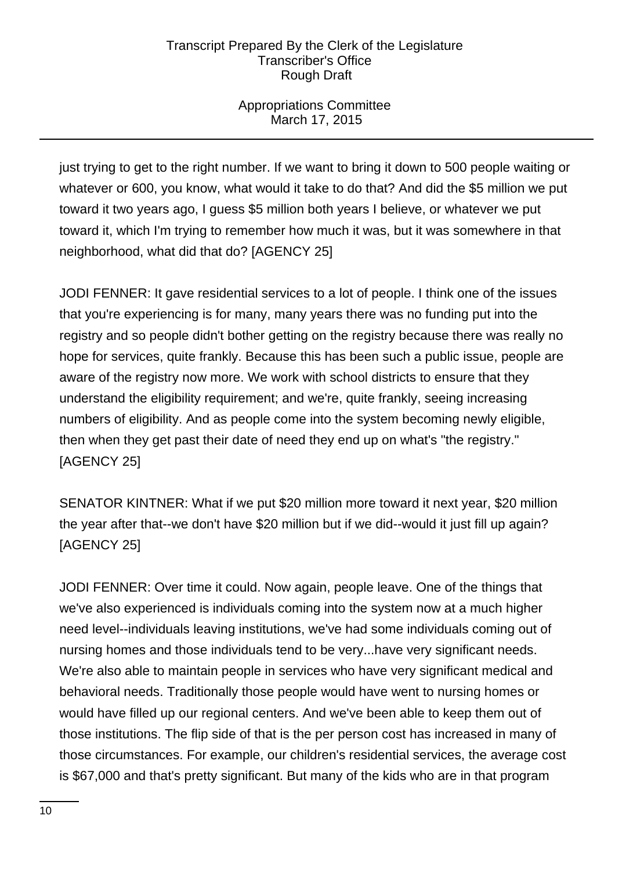# Appropriations Committee March 17, 2015

just trying to get to the right number. If we want to bring it down to 500 people waiting or whatever or 600, you know, what would it take to do that? And did the \$5 million we put toward it two years ago, I guess \$5 million both years I believe, or whatever we put toward it, which I'm trying to remember how much it was, but it was somewhere in that neighborhood, what did that do? [AGENCY 25]

JODI FENNER: It gave residential services to a lot of people. I think one of the issues that you're experiencing is for many, many years there was no funding put into the registry and so people didn't bother getting on the registry because there was really no hope for services, quite frankly. Because this has been such a public issue, people are aware of the registry now more. We work with school districts to ensure that they understand the eligibility requirement; and we're, quite frankly, seeing increasing numbers of eligibility. And as people come into the system becoming newly eligible, then when they get past their date of need they end up on what's "the registry." [AGENCY 25]

SENATOR KINTNER: What if we put \$20 million more toward it next year, \$20 million the year after that--we don't have \$20 million but if we did--would it just fill up again? [AGENCY 25]

JODI FENNER: Over time it could. Now again, people leave. One of the things that we've also experienced is individuals coming into the system now at a much higher need level--individuals leaving institutions, we've had some individuals coming out of nursing homes and those individuals tend to be very...have very significant needs. We're also able to maintain people in services who have very significant medical and behavioral needs. Traditionally those people would have went to nursing homes or would have filled up our regional centers. And we've been able to keep them out of those institutions. The flip side of that is the per person cost has increased in many of those circumstances. For example, our children's residential services, the average cost is \$67,000 and that's pretty significant. But many of the kids who are in that program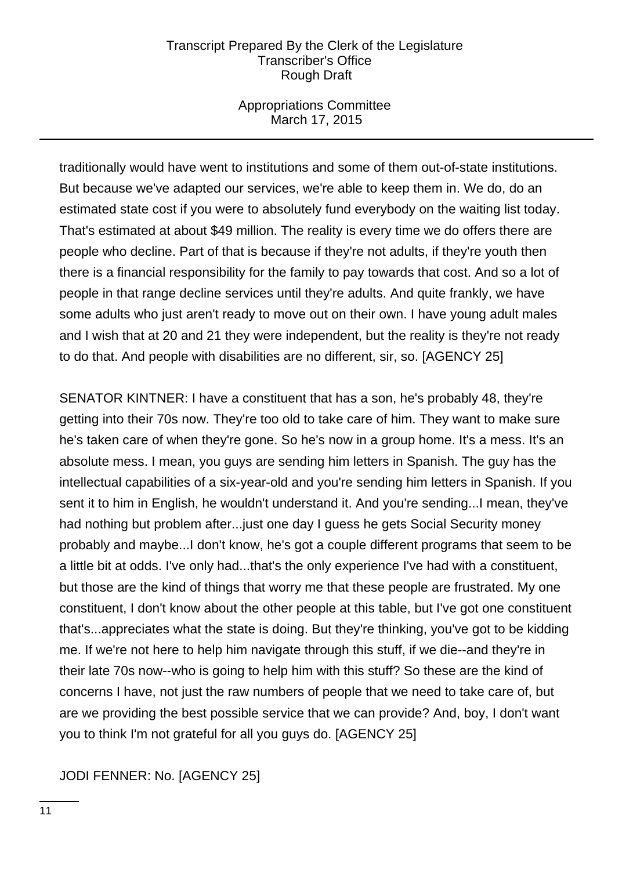## Appropriations Committee March 17, 2015

traditionally would have went to institutions and some of them out-of-state institutions. But because we've adapted our services, we're able to keep them in. We do, do an estimated state cost if you were to absolutely fund everybody on the waiting list today. That's estimated at about \$49 million. The reality is every time we do offers there are people who decline. Part of that is because if they're not adults, if they're youth then there is a financial responsibility for the family to pay towards that cost. And so a lot of people in that range decline services until they're adults. And quite frankly, we have some adults who just aren't ready to move out on their own. I have young adult males and I wish that at 20 and 21 they were independent, but the reality is they're not ready to do that. And people with disabilities are no different, sir, so. [AGENCY 25]

SENATOR KINTNER: I have a constituent that has a son, he's probably 48, they're getting into their 70s now. They're too old to take care of him. They want to make sure he's taken care of when they're gone. So he's now in a group home. It's a mess. It's an absolute mess. I mean, you guys are sending him letters in Spanish. The guy has the intellectual capabilities of a six-year-old and you're sending him letters in Spanish. If you sent it to him in English, he wouldn't understand it. And you're sending...I mean, they've had nothing but problem after...just one day I guess he gets Social Security money probably and maybe...I don't know, he's got a couple different programs that seem to be a little bit at odds. I've only had...that's the only experience I've had with a constituent, but those are the kind of things that worry me that these people are frustrated. My one constituent, I don't know about the other people at this table, but I've got one constituent that's...appreciates what the state is doing. But they're thinking, you've got to be kidding me. If we're not here to help him navigate through this stuff, if we die--and they're in their late 70s now--who is going to help him with this stuff? So these are the kind of concerns I have, not just the raw numbers of people that we need to take care of, but are we providing the best possible service that we can provide? And, boy, I don't want you to think I'm not grateful for all you guys do. [AGENCY 25]

# JODI FENNER: No. [AGENCY 25]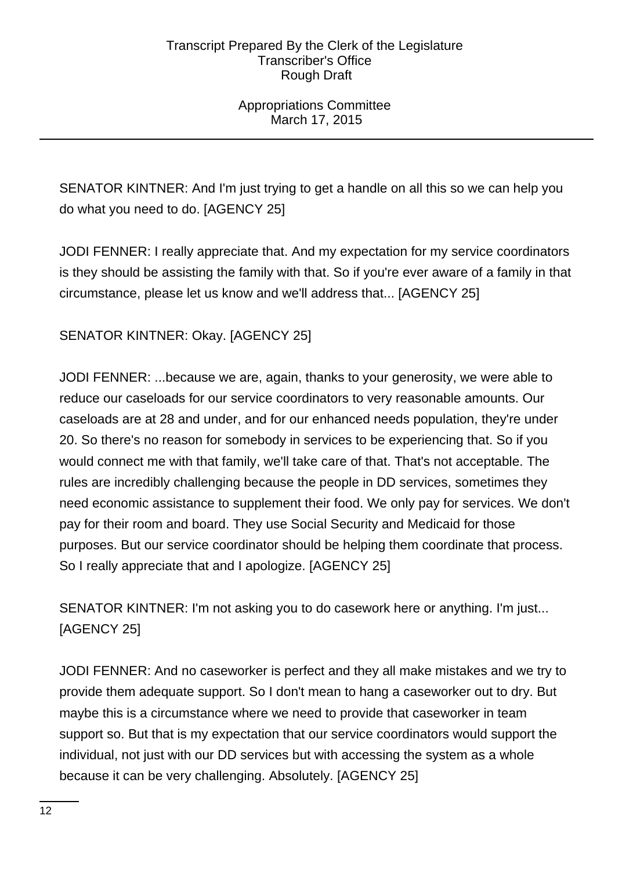# Appropriations Committee March 17, 2015

SENATOR KINTNER: And I'm just trying to get a handle on all this so we can help you do what you need to do. [AGENCY 25]

JODI FENNER: I really appreciate that. And my expectation for my service coordinators is they should be assisting the family with that. So if you're ever aware of a family in that circumstance, please let us know and we'll address that... [AGENCY 25]

# SENATOR KINTNER: Okay. [AGENCY 25]

JODI FENNER: ...because we are, again, thanks to your generosity, we were able to reduce our caseloads for our service coordinators to very reasonable amounts. Our caseloads are at 28 and under, and for our enhanced needs population, they're under 20. So there's no reason for somebody in services to be experiencing that. So if you would connect me with that family, we'll take care of that. That's not acceptable. The rules are incredibly challenging because the people in DD services, sometimes they need economic assistance to supplement their food. We only pay for services. We don't pay for their room and board. They use Social Security and Medicaid for those purposes. But our service coordinator should be helping them coordinate that process. So I really appreciate that and I apologize. [AGENCY 25]

SENATOR KINTNER: I'm not asking you to do casework here or anything. I'm just... [AGENCY 25]

JODI FENNER: And no caseworker is perfect and they all make mistakes and we try to provide them adequate support. So I don't mean to hang a caseworker out to dry. But maybe this is a circumstance where we need to provide that caseworker in team support so. But that is my expectation that our service coordinators would support the individual, not just with our DD services but with accessing the system as a whole because it can be very challenging. Absolutely. [AGENCY 25]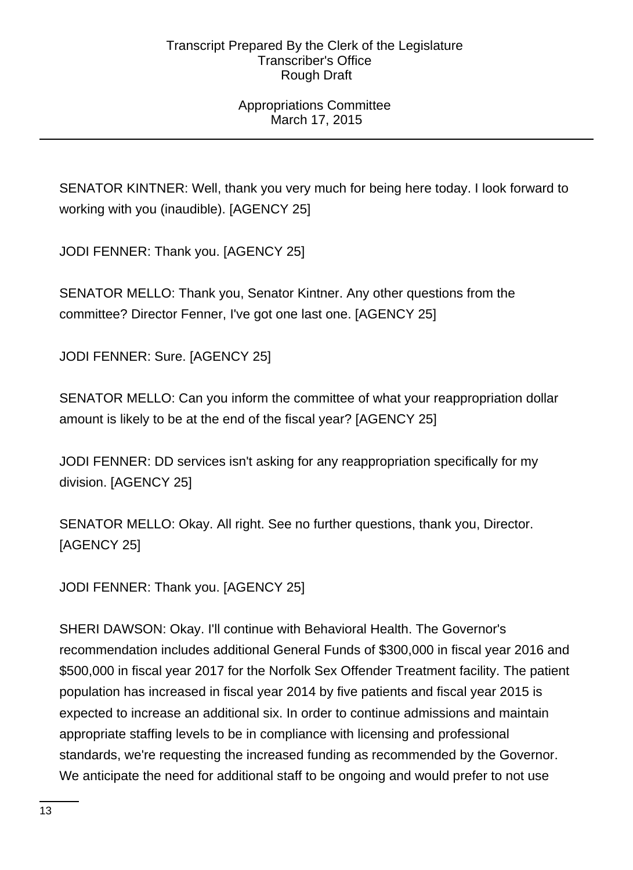# Appropriations Committee March 17, 2015

SENATOR KINTNER: Well, thank you very much for being here today. I look forward to working with you (inaudible). [AGENCY 25]

JODI FENNER: Thank you. [AGENCY 25]

SENATOR MELLO: Thank you, Senator Kintner. Any other questions from the committee? Director Fenner, I've got one last one. [AGENCY 25]

JODI FENNER: Sure. [AGENCY 25]

SENATOR MELLO: Can you inform the committee of what your reappropriation dollar amount is likely to be at the end of the fiscal year? [AGENCY 25]

JODI FENNER: DD services isn't asking for any reappropriation specifically for my division. [AGENCY 25]

SENATOR MELLO: Okay. All right. See no further questions, thank you, Director. [AGENCY 25]

JODI FENNER: Thank you. [AGENCY 25]

SHERI DAWSON: Okay. I'll continue with Behavioral Health. The Governor's recommendation includes additional General Funds of \$300,000 in fiscal year 2016 and \$500,000 in fiscal year 2017 for the Norfolk Sex Offender Treatment facility. The patient population has increased in fiscal year 2014 by five patients and fiscal year 2015 is expected to increase an additional six. In order to continue admissions and maintain appropriate staffing levels to be in compliance with licensing and professional standards, we're requesting the increased funding as recommended by the Governor. We anticipate the need for additional staff to be ongoing and would prefer to not use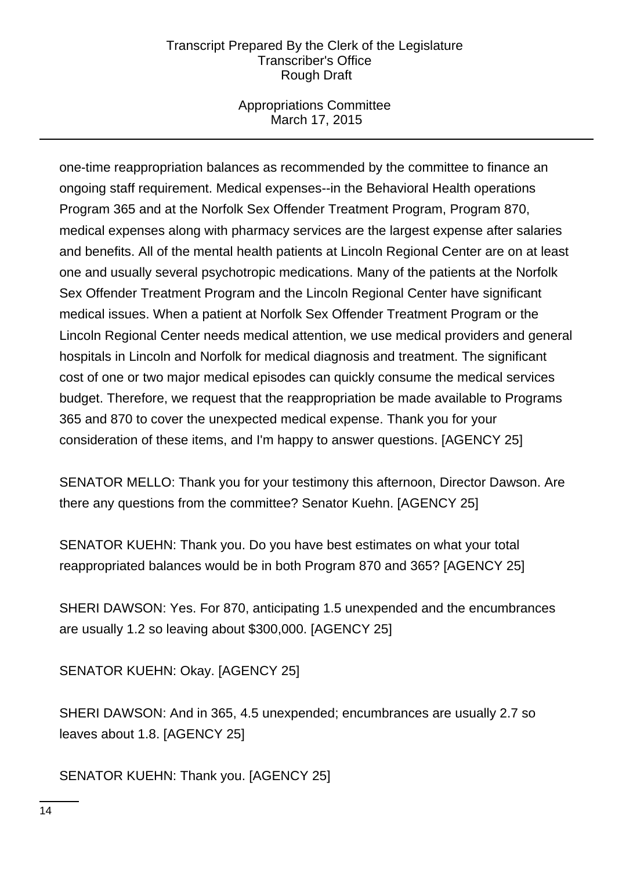## Appropriations Committee March 17, 2015

one-time reappropriation balances as recommended by the committee to finance an ongoing staff requirement. Medical expenses--in the Behavioral Health operations Program 365 and at the Norfolk Sex Offender Treatment Program, Program 870, medical expenses along with pharmacy services are the largest expense after salaries and benefits. All of the mental health patients at Lincoln Regional Center are on at least one and usually several psychotropic medications. Many of the patients at the Norfolk Sex Offender Treatment Program and the Lincoln Regional Center have significant medical issues. When a patient at Norfolk Sex Offender Treatment Program or the Lincoln Regional Center needs medical attention, we use medical providers and general hospitals in Lincoln and Norfolk for medical diagnosis and treatment. The significant cost of one or two major medical episodes can quickly consume the medical services budget. Therefore, we request that the reappropriation be made available to Programs 365 and 870 to cover the unexpected medical expense. Thank you for your consideration of these items, and I'm happy to answer questions. [AGENCY 25]

SENATOR MELLO: Thank you for your testimony this afternoon, Director Dawson. Are there any questions from the committee? Senator Kuehn. [AGENCY 25]

SENATOR KUEHN: Thank you. Do you have best estimates on what your total reappropriated balances would be in both Program 870 and 365? [AGENCY 25]

SHERI DAWSON: Yes. For 870, anticipating 1.5 unexpended and the encumbrances are usually 1.2 so leaving about \$300,000. [AGENCY 25]

SENATOR KUEHN: Okay. [AGENCY 25]

SHERI DAWSON: And in 365, 4.5 unexpended; encumbrances are usually 2.7 so leaves about 1.8. [AGENCY 25]

SENATOR KUEHN: Thank you. [AGENCY 25]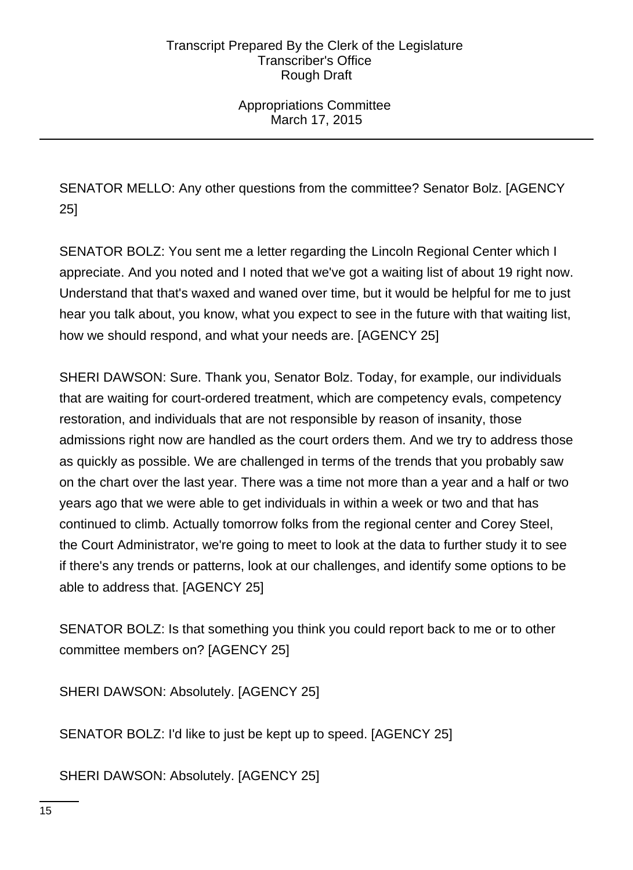# Appropriations Committee March 17, 2015

SENATOR MELLO: Any other questions from the committee? Senator Bolz. [AGENCY 25]

SENATOR BOLZ: You sent me a letter regarding the Lincoln Regional Center which I appreciate. And you noted and I noted that we've got a waiting list of about 19 right now. Understand that that's waxed and waned over time, but it would be helpful for me to just hear you talk about, you know, what you expect to see in the future with that waiting list, how we should respond, and what your needs are. [AGENCY 25]

SHERI DAWSON: Sure. Thank you, Senator Bolz. Today, for example, our individuals that are waiting for court-ordered treatment, which are competency evals, competency restoration, and individuals that are not responsible by reason of insanity, those admissions right now are handled as the court orders them. And we try to address those as quickly as possible. We are challenged in terms of the trends that you probably saw on the chart over the last year. There was a time not more than a year and a half or two years ago that we were able to get individuals in within a week or two and that has continued to climb. Actually tomorrow folks from the regional center and Corey Steel, the Court Administrator, we're going to meet to look at the data to further study it to see if there's any trends or patterns, look at our challenges, and identify some options to be able to address that. [AGENCY 25]

SENATOR BOLZ: Is that something you think you could report back to me or to other committee members on? [AGENCY 25]

SHERI DAWSON: Absolutely. [AGENCY 25]

SENATOR BOLZ: I'd like to just be kept up to speed. [AGENCY 25]

SHERI DAWSON: Absolutely. [AGENCY 25]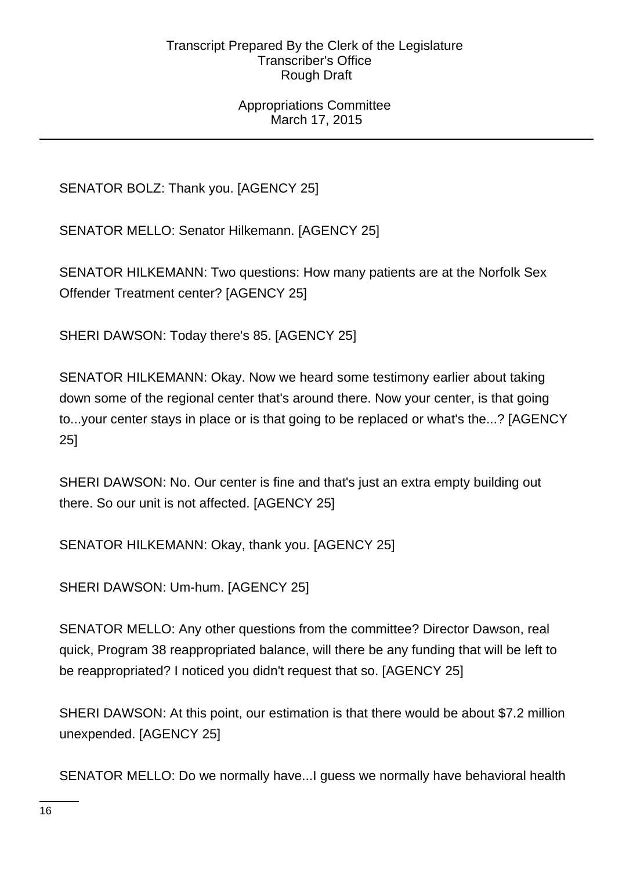## Appropriations Committee March 17, 2015

SENATOR BOLZ: Thank you. [AGENCY 25]

SENATOR MELLO: Senator Hilkemann. [AGENCY 25]

SENATOR HILKEMANN: Two questions: How many patients are at the Norfolk Sex Offender Treatment center? [AGENCY 25]

SHERI DAWSON: Today there's 85. [AGENCY 25]

SENATOR HILKEMANN: Okay. Now we heard some testimony earlier about taking down some of the regional center that's around there. Now your center, is that going to...your center stays in place or is that going to be replaced or what's the...? [AGENCY 25]

SHERI DAWSON: No. Our center is fine and that's just an extra empty building out there. So our unit is not affected. [AGENCY 25]

SENATOR HILKEMANN: Okay, thank you. [AGENCY 25]

SHERI DAWSON: Um-hum. [AGENCY 25]

SENATOR MELLO: Any other questions from the committee? Director Dawson, real quick, Program 38 reappropriated balance, will there be any funding that will be left to be reappropriated? I noticed you didn't request that so. [AGENCY 25]

SHERI DAWSON: At this point, our estimation is that there would be about \$7.2 million unexpended. [AGENCY 25]

SENATOR MELLO: Do we normally have...I guess we normally have behavioral health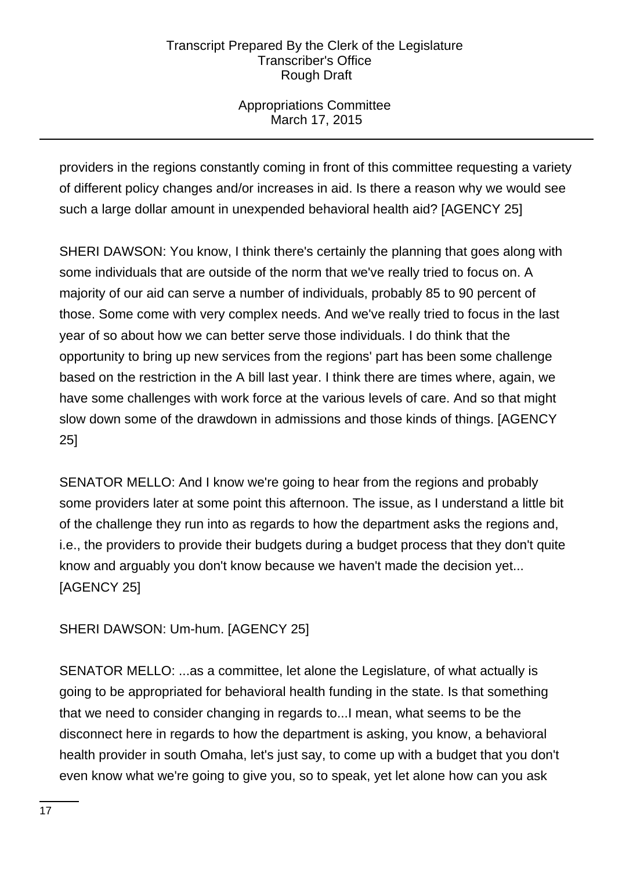# Appropriations Committee March 17, 2015

providers in the regions constantly coming in front of this committee requesting a variety of different policy changes and/or increases in aid. Is there a reason why we would see such a large dollar amount in unexpended behavioral health aid? [AGENCY 25]

SHERI DAWSON: You know, I think there's certainly the planning that goes along with some individuals that are outside of the norm that we've really tried to focus on. A majority of our aid can serve a number of individuals, probably 85 to 90 percent of those. Some come with very complex needs. And we've really tried to focus in the last year of so about how we can better serve those individuals. I do think that the opportunity to bring up new services from the regions' part has been some challenge based on the restriction in the A bill last year. I think there are times where, again, we have some challenges with work force at the various levels of care. And so that might slow down some of the drawdown in admissions and those kinds of things. [AGENCY 25]

SENATOR MELLO: And I know we're going to hear from the regions and probably some providers later at some point this afternoon. The issue, as I understand a little bit of the challenge they run into as regards to how the department asks the regions and, i.e., the providers to provide their budgets during a budget process that they don't quite know and arguably you don't know because we haven't made the decision yet... [AGENCY 25]

SHERI DAWSON: Um-hum. [AGENCY 25]

SENATOR MELLO: ...as a committee, let alone the Legislature, of what actually is going to be appropriated for behavioral health funding in the state. Is that something that we need to consider changing in regards to...I mean, what seems to be the disconnect here in regards to how the department is asking, you know, a behavioral health provider in south Omaha, let's just say, to come up with a budget that you don't even know what we're going to give you, so to speak, yet let alone how can you ask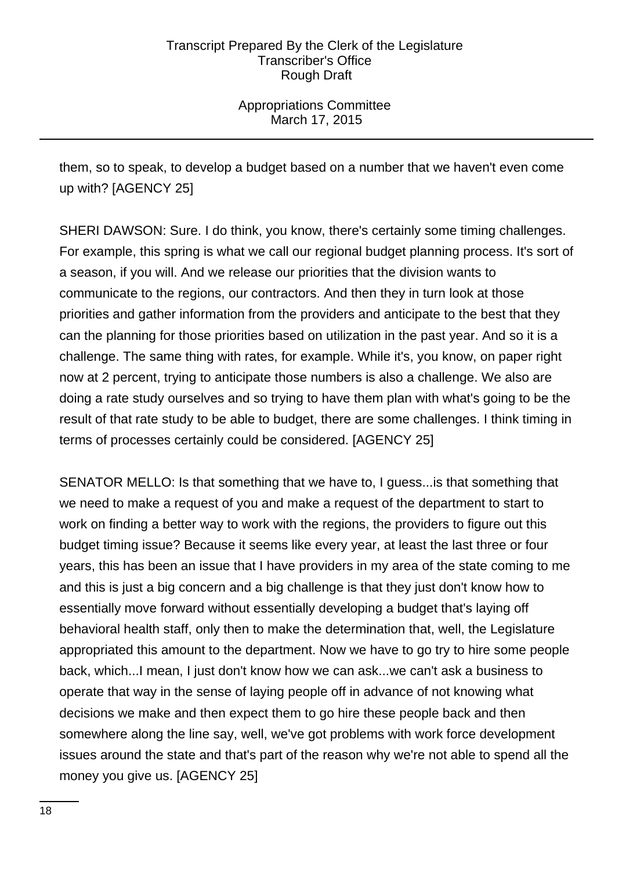Appropriations Committee March 17, 2015

them, so to speak, to develop a budget based on a number that we haven't even come up with? [AGENCY 25]

SHERI DAWSON: Sure. I do think, you know, there's certainly some timing challenges. For example, this spring is what we call our regional budget planning process. It's sort of a season, if you will. And we release our priorities that the division wants to communicate to the regions, our contractors. And then they in turn look at those priorities and gather information from the providers and anticipate to the best that they can the planning for those priorities based on utilization in the past year. And so it is a challenge. The same thing with rates, for example. While it's, you know, on paper right now at 2 percent, trying to anticipate those numbers is also a challenge. We also are doing a rate study ourselves and so trying to have them plan with what's going to be the result of that rate study to be able to budget, there are some challenges. I think timing in terms of processes certainly could be considered. [AGENCY 25]

SENATOR MELLO: Is that something that we have to, I guess...is that something that we need to make a request of you and make a request of the department to start to work on finding a better way to work with the regions, the providers to figure out this budget timing issue? Because it seems like every year, at least the last three or four years, this has been an issue that I have providers in my area of the state coming to me and this is just a big concern and a big challenge is that they just don't know how to essentially move forward without essentially developing a budget that's laying off behavioral health staff, only then to make the determination that, well, the Legislature appropriated this amount to the department. Now we have to go try to hire some people back, which...I mean, I just don't know how we can ask...we can't ask a business to operate that way in the sense of laying people off in advance of not knowing what decisions we make and then expect them to go hire these people back and then somewhere along the line say, well, we've got problems with work force development issues around the state and that's part of the reason why we're not able to spend all the money you give us. [AGENCY 25]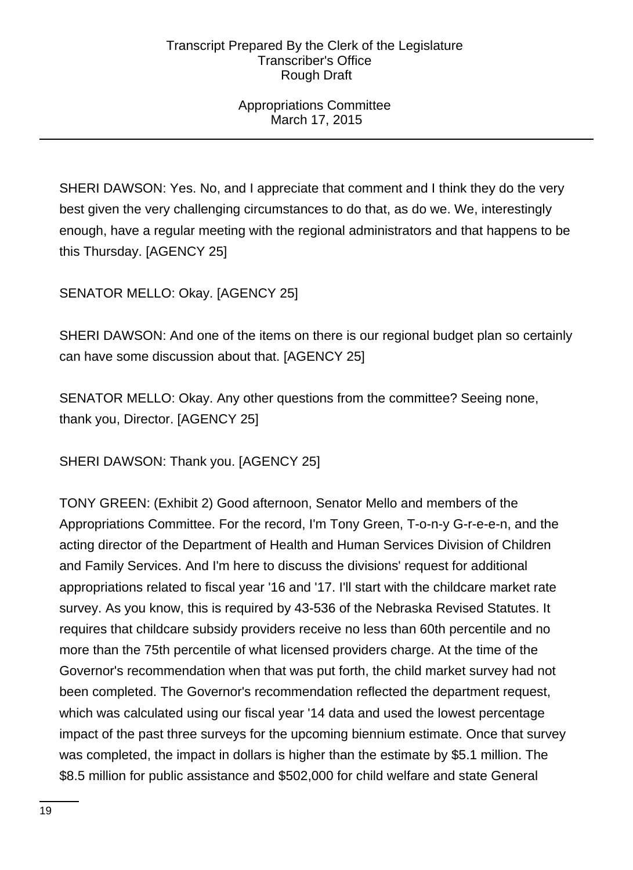# Appropriations Committee March 17, 2015

SHERI DAWSON: Yes. No, and I appreciate that comment and I think they do the very best given the very challenging circumstances to do that, as do we. We, interestingly enough, have a regular meeting with the regional administrators and that happens to be this Thursday. [AGENCY 25]

SENATOR MELLO: Okay. [AGENCY 25]

SHERI DAWSON: And one of the items on there is our regional budget plan so certainly can have some discussion about that. [AGENCY 25]

SENATOR MELLO: Okay. Any other questions from the committee? Seeing none, thank you, Director. [AGENCY 25]

SHERI DAWSON: Thank you. [AGENCY 25]

TONY GREEN: (Exhibit 2) Good afternoon, Senator Mello and members of the Appropriations Committee. For the record, I'm Tony Green, T-o-n-y G-r-e-e-n, and the acting director of the Department of Health and Human Services Division of Children and Family Services. And I'm here to discuss the divisions' request for additional appropriations related to fiscal year '16 and '17. I'll start with the childcare market rate survey. As you know, this is required by 43-536 of the Nebraska Revised Statutes. It requires that childcare subsidy providers receive no less than 60th percentile and no more than the 75th percentile of what licensed providers charge. At the time of the Governor's recommendation when that was put forth, the child market survey had not been completed. The Governor's recommendation reflected the department request, which was calculated using our fiscal year '14 data and used the lowest percentage impact of the past three surveys for the upcoming biennium estimate. Once that survey was completed, the impact in dollars is higher than the estimate by \$5.1 million. The \$8.5 million for public assistance and \$502,000 for child welfare and state General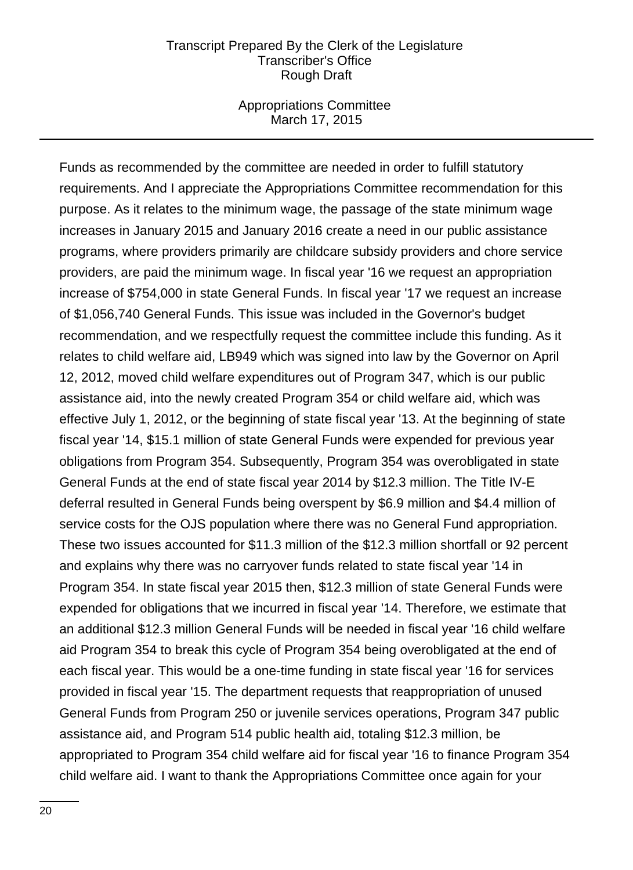#### Appropriations Committee March 17, 2015

Funds as recommended by the committee are needed in order to fulfill statutory requirements. And I appreciate the Appropriations Committee recommendation for this purpose. As it relates to the minimum wage, the passage of the state minimum wage increases in January 2015 and January 2016 create a need in our public assistance programs, where providers primarily are childcare subsidy providers and chore service providers, are paid the minimum wage. In fiscal year '16 we request an appropriation increase of \$754,000 in state General Funds. In fiscal year '17 we request an increase of \$1,056,740 General Funds. This issue was included in the Governor's budget recommendation, and we respectfully request the committee include this funding. As it relates to child welfare aid, LB949 which was signed into law by the Governor on April 12, 2012, moved child welfare expenditures out of Program 347, which is our public assistance aid, into the newly created Program 354 or child welfare aid, which was effective July 1, 2012, or the beginning of state fiscal year '13. At the beginning of state fiscal year '14, \$15.1 million of state General Funds were expended for previous year obligations from Program 354. Subsequently, Program 354 was overobligated in state General Funds at the end of state fiscal year 2014 by \$12.3 million. The Title IV-E deferral resulted in General Funds being overspent by \$6.9 million and \$4.4 million of service costs for the OJS population where there was no General Fund appropriation. These two issues accounted for \$11.3 million of the \$12.3 million shortfall or 92 percent and explains why there was no carryover funds related to state fiscal year '14 in Program 354. In state fiscal year 2015 then, \$12.3 million of state General Funds were expended for obligations that we incurred in fiscal year '14. Therefore, we estimate that an additional \$12.3 million General Funds will be needed in fiscal year '16 child welfare aid Program 354 to break this cycle of Program 354 being overobligated at the end of each fiscal year. This would be a one-time funding in state fiscal year '16 for services provided in fiscal year '15. The department requests that reappropriation of unused General Funds from Program 250 or juvenile services operations, Program 347 public assistance aid, and Program 514 public health aid, totaling \$12.3 million, be appropriated to Program 354 child welfare aid for fiscal year '16 to finance Program 354 child welfare aid. I want to thank the Appropriations Committee once again for your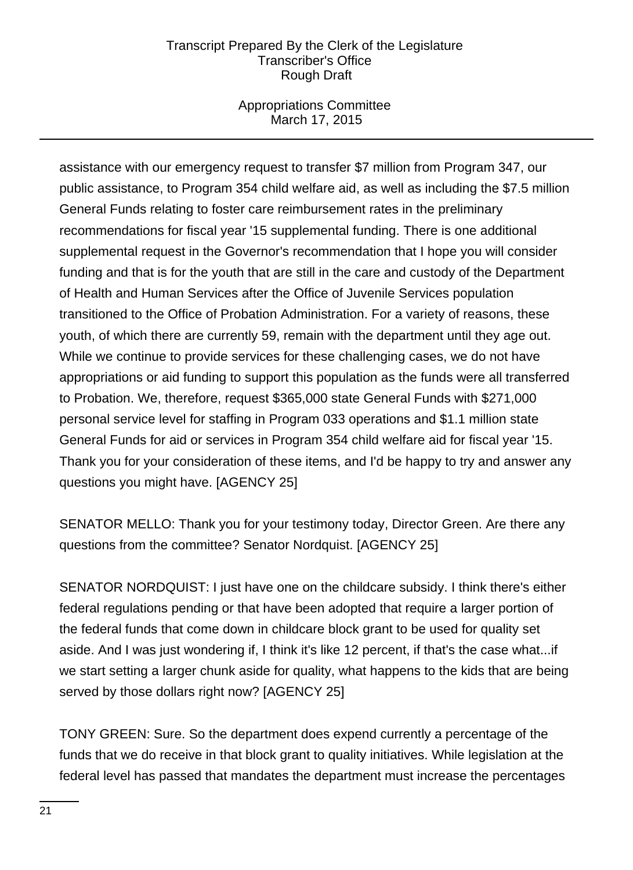## Appropriations Committee March 17, 2015

assistance with our emergency request to transfer \$7 million from Program 347, our public assistance, to Program 354 child welfare aid, as well as including the \$7.5 million General Funds relating to foster care reimbursement rates in the preliminary recommendations for fiscal year '15 supplemental funding. There is one additional supplemental request in the Governor's recommendation that I hope you will consider funding and that is for the youth that are still in the care and custody of the Department of Health and Human Services after the Office of Juvenile Services population transitioned to the Office of Probation Administration. For a variety of reasons, these youth, of which there are currently 59, remain with the department until they age out. While we continue to provide services for these challenging cases, we do not have appropriations or aid funding to support this population as the funds were all transferred to Probation. We, therefore, request \$365,000 state General Funds with \$271,000 personal service level for staffing in Program 033 operations and \$1.1 million state General Funds for aid or services in Program 354 child welfare aid for fiscal year '15. Thank you for your consideration of these items, and I'd be happy to try and answer any questions you might have. [AGENCY 25]

SENATOR MELLO: Thank you for your testimony today, Director Green. Are there any questions from the committee? Senator Nordquist. [AGENCY 25]

SENATOR NORDQUIST: I just have one on the childcare subsidy. I think there's either federal regulations pending or that have been adopted that require a larger portion of the federal funds that come down in childcare block grant to be used for quality set aside. And I was just wondering if, I think it's like 12 percent, if that's the case what...if we start setting a larger chunk aside for quality, what happens to the kids that are being served by those dollars right now? [AGENCY 25]

TONY GREEN: Sure. So the department does expend currently a percentage of the funds that we do receive in that block grant to quality initiatives. While legislation at the federal level has passed that mandates the department must increase the percentages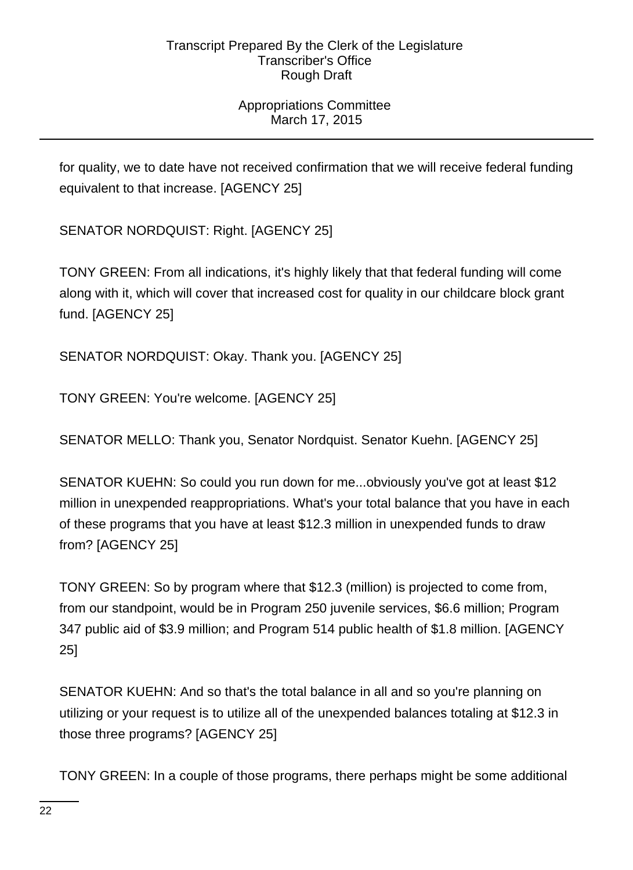# Appropriations Committee March 17, 2015

for quality, we to date have not received confirmation that we will receive federal funding equivalent to that increase. [AGENCY 25]

SENATOR NORDQUIST: Right. [AGENCY 25]

TONY GREEN: From all indications, it's highly likely that that federal funding will come along with it, which will cover that increased cost for quality in our childcare block grant fund. [AGENCY 25]

SENATOR NORDQUIST: Okay. Thank you. [AGENCY 25]

TONY GREEN: You're welcome. [AGENCY 25]

SENATOR MELLO: Thank you, Senator Nordquist. Senator Kuehn. [AGENCY 25]

SENATOR KUEHN: So could you run down for me...obviously you've got at least \$12 million in unexpended reappropriations. What's your total balance that you have in each of these programs that you have at least \$12.3 million in unexpended funds to draw from? [AGENCY 25]

TONY GREEN: So by program where that \$12.3 (million) is projected to come from, from our standpoint, would be in Program 250 juvenile services, \$6.6 million; Program 347 public aid of \$3.9 million; and Program 514 public health of \$1.8 million. [AGENCY 25]

SENATOR KUEHN: And so that's the total balance in all and so you're planning on utilizing or your request is to utilize all of the unexpended balances totaling at \$12.3 in those three programs? [AGENCY 25]

TONY GREEN: In a couple of those programs, there perhaps might be some additional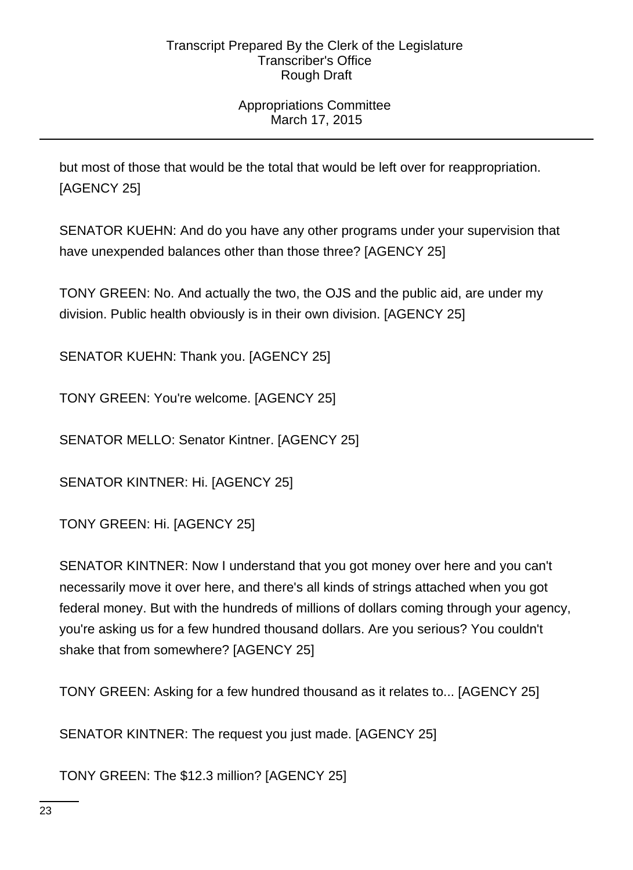# Appropriations Committee March 17, 2015

but most of those that would be the total that would be left over for reappropriation. [AGENCY 25]

SENATOR KUEHN: And do you have any other programs under your supervision that have unexpended balances other than those three? [AGENCY 25]

TONY GREEN: No. And actually the two, the OJS and the public aid, are under my division. Public health obviously is in their own division. [AGENCY 25]

SENATOR KUEHN: Thank you. [AGENCY 25]

TONY GREEN: You're welcome. [AGENCY 25]

SENATOR MELLO: Senator Kintner. [AGENCY 25]

SENATOR KINTNER: Hi. [AGENCY 25]

TONY GREEN: Hi. [AGENCY 25]

SENATOR KINTNER: Now I understand that you got money over here and you can't necessarily move it over here, and there's all kinds of strings attached when you got federal money. But with the hundreds of millions of dollars coming through your agency, you're asking us for a few hundred thousand dollars. Are you serious? You couldn't shake that from somewhere? [AGENCY 25]

TONY GREEN: Asking for a few hundred thousand as it relates to... [AGENCY 25]

SENATOR KINTNER: The request you just made. [AGENCY 25]

TONY GREEN: The \$12.3 million? [AGENCY 25]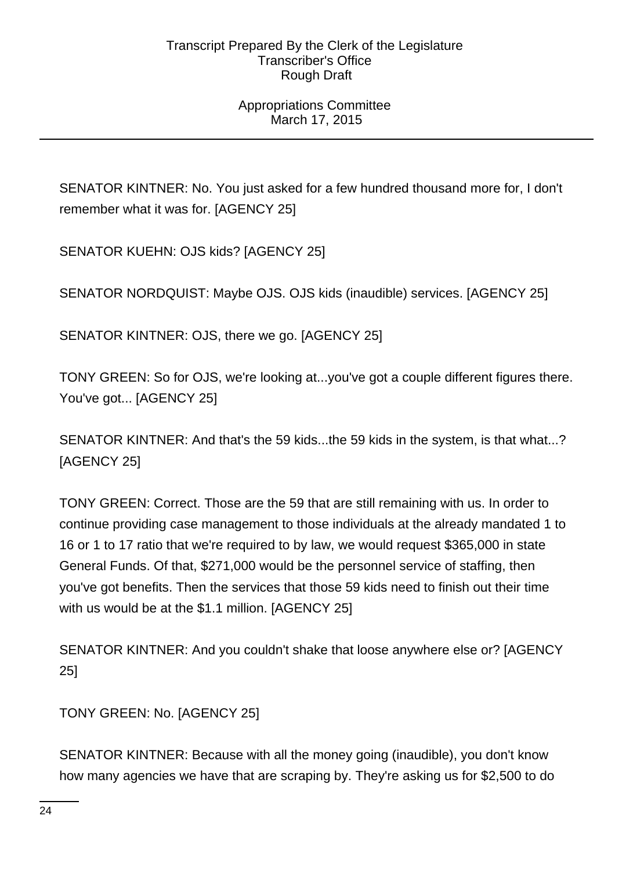# Appropriations Committee March 17, 2015

SENATOR KINTNER: No. You just asked for a few hundred thousand more for, I don't remember what it was for. [AGENCY 25]

SENATOR KUEHN: OJS kids? [AGENCY 25]

SENATOR NORDQUIST: Maybe OJS. OJS kids (inaudible) services. [AGENCY 25]

SENATOR KINTNER: OJS, there we go. [AGENCY 25]

TONY GREEN: So for OJS, we're looking at...you've got a couple different figures there. You've got... [AGENCY 25]

SENATOR KINTNER: And that's the 59 kids...the 59 kids in the system, is that what...? [AGENCY 25]

TONY GREEN: Correct. Those are the 59 that are still remaining with us. In order to continue providing case management to those individuals at the already mandated 1 to 16 or 1 to 17 ratio that we're required to by law, we would request \$365,000 in state General Funds. Of that, \$271,000 would be the personnel service of staffing, then you've got benefits. Then the services that those 59 kids need to finish out their time with us would be at the \$1.1 million. [AGENCY 25]

SENATOR KINTNER: And you couldn't shake that loose anywhere else or? [AGENCY 25]

TONY GREEN: No. [AGENCY 25]

SENATOR KINTNER: Because with all the money going (inaudible), you don't know how many agencies we have that are scraping by. They're asking us for \$2,500 to do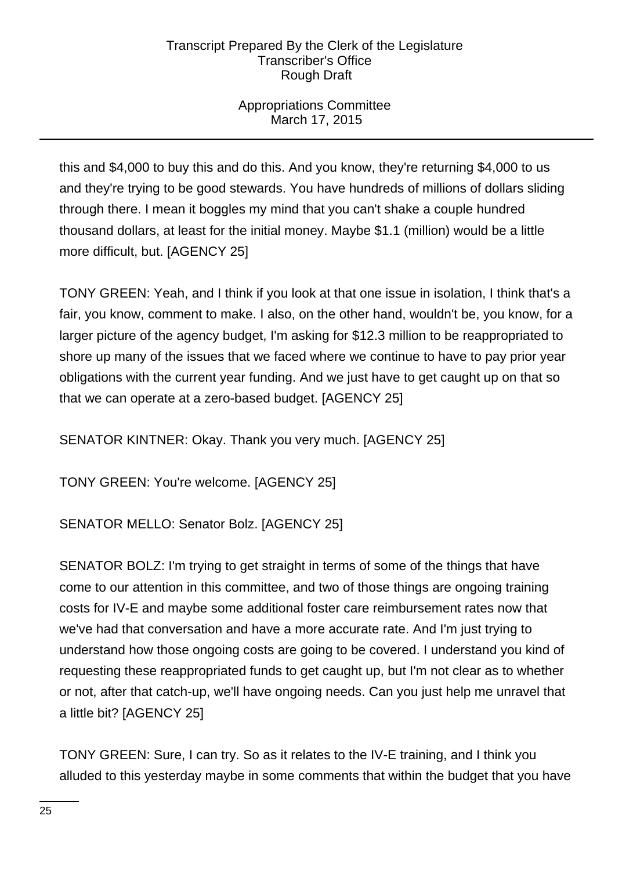# Appropriations Committee March 17, 2015

this and \$4,000 to buy this and do this. And you know, they're returning \$4,000 to us and they're trying to be good stewards. You have hundreds of millions of dollars sliding through there. I mean it boggles my mind that you can't shake a couple hundred thousand dollars, at least for the initial money. Maybe \$1.1 (million) would be a little more difficult, but. [AGENCY 25]

TONY GREEN: Yeah, and I think if you look at that one issue in isolation, I think that's a fair, you know, comment to make. I also, on the other hand, wouldn't be, you know, for a larger picture of the agency budget, I'm asking for \$12.3 million to be reappropriated to shore up many of the issues that we faced where we continue to have to pay prior year obligations with the current year funding. And we just have to get caught up on that so that we can operate at a zero-based budget. [AGENCY 25]

SENATOR KINTNER: Okay. Thank you very much. [AGENCY 25]

TONY GREEN: You're welcome. [AGENCY 25]

SENATOR MELLO: Senator Bolz. [AGENCY 25]

SENATOR BOLZ: I'm trying to get straight in terms of some of the things that have come to our attention in this committee, and two of those things are ongoing training costs for IV-E and maybe some additional foster care reimbursement rates now that we've had that conversation and have a more accurate rate. And I'm just trying to understand how those ongoing costs are going to be covered. I understand you kind of requesting these reappropriated funds to get caught up, but I'm not clear as to whether or not, after that catch-up, we'll have ongoing needs. Can you just help me unravel that a little bit? [AGENCY 25]

TONY GREEN: Sure, I can try. So as it relates to the IV-E training, and I think you alluded to this yesterday maybe in some comments that within the budget that you have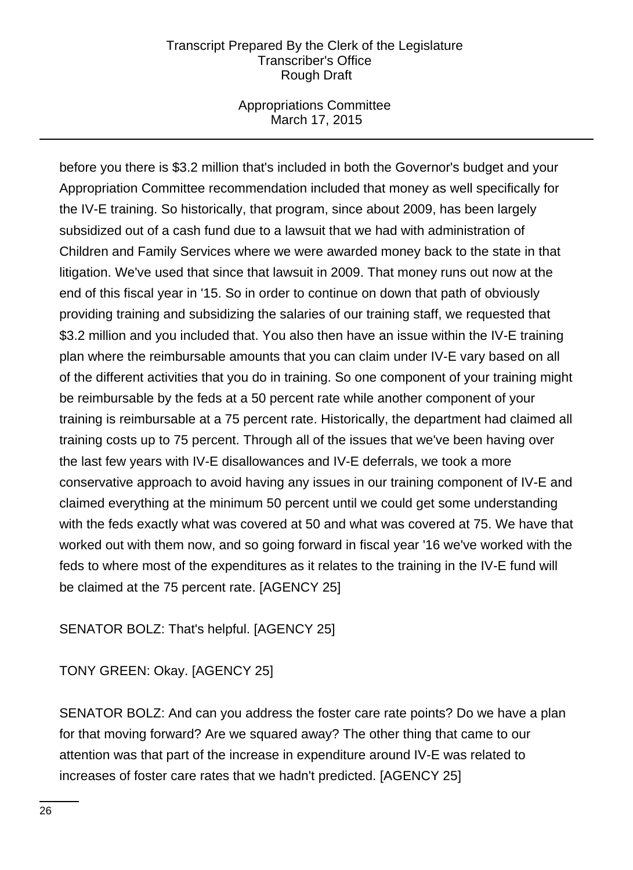## Appropriations Committee March 17, 2015

before you there is \$3.2 million that's included in both the Governor's budget and your Appropriation Committee recommendation included that money as well specifically for the IV-E training. So historically, that program, since about 2009, has been largely subsidized out of a cash fund due to a lawsuit that we had with administration of Children and Family Services where we were awarded money back to the state in that litigation. We've used that since that lawsuit in 2009. That money runs out now at the end of this fiscal year in '15. So in order to continue on down that path of obviously providing training and subsidizing the salaries of our training staff, we requested that \$3.2 million and you included that. You also then have an issue within the IV-E training plan where the reimbursable amounts that you can claim under IV-E vary based on all of the different activities that you do in training. So one component of your training might be reimbursable by the feds at a 50 percent rate while another component of your training is reimbursable at a 75 percent rate. Historically, the department had claimed all training costs up to 75 percent. Through all of the issues that we've been having over the last few years with IV-E disallowances and IV-E deferrals, we took a more conservative approach to avoid having any issues in our training component of IV-E and claimed everything at the minimum 50 percent until we could get some understanding with the feds exactly what was covered at 50 and what was covered at 75. We have that worked out with them now, and so going forward in fiscal year '16 we've worked with the feds to where most of the expenditures as it relates to the training in the IV-E fund will be claimed at the 75 percent rate. [AGENCY 25]

# SENATOR BOLZ: That's helpful. [AGENCY 25]

TONY GREEN: Okay. [AGENCY 25]

SENATOR BOLZ: And can you address the foster care rate points? Do we have a plan for that moving forward? Are we squared away? The other thing that came to our attention was that part of the increase in expenditure around IV-E was related to increases of foster care rates that we hadn't predicted. [AGENCY 25]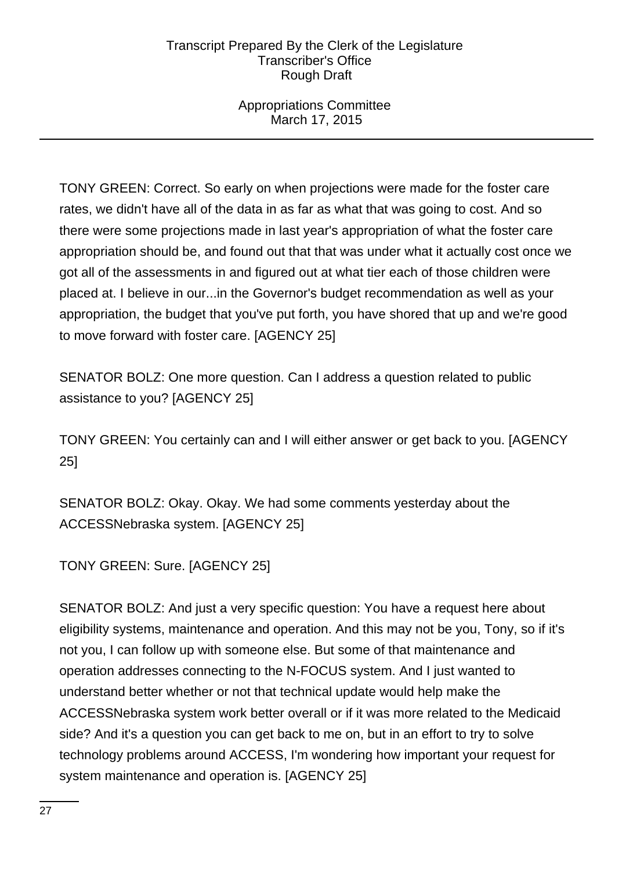Appropriations Committee March 17, 2015

TONY GREEN: Correct. So early on when projections were made for the foster care rates, we didn't have all of the data in as far as what that was going to cost. And so there were some projections made in last year's appropriation of what the foster care appropriation should be, and found out that that was under what it actually cost once we got all of the assessments in and figured out at what tier each of those children were placed at. I believe in our...in the Governor's budget recommendation as well as your appropriation, the budget that you've put forth, you have shored that up and we're good to move forward with foster care. [AGENCY 25]

SENATOR BOLZ: One more question. Can I address a question related to public assistance to you? [AGENCY 25]

TONY GREEN: You certainly can and I will either answer or get back to you. [AGENCY 25]

SENATOR BOLZ: Okay. Okay. We had some comments yesterday about the ACCESSNebraska system. [AGENCY 25]

TONY GREEN: Sure. [AGENCY 25]

SENATOR BOLZ: And just a very specific question: You have a request here about eligibility systems, maintenance and operation. And this may not be you, Tony, so if it's not you, I can follow up with someone else. But some of that maintenance and operation addresses connecting to the N-FOCUS system. And I just wanted to understand better whether or not that technical update would help make the ACCESSNebraska system work better overall or if it was more related to the Medicaid side? And it's a question you can get back to me on, but in an effort to try to solve technology problems around ACCESS, I'm wondering how important your request for system maintenance and operation is. [AGENCY 25]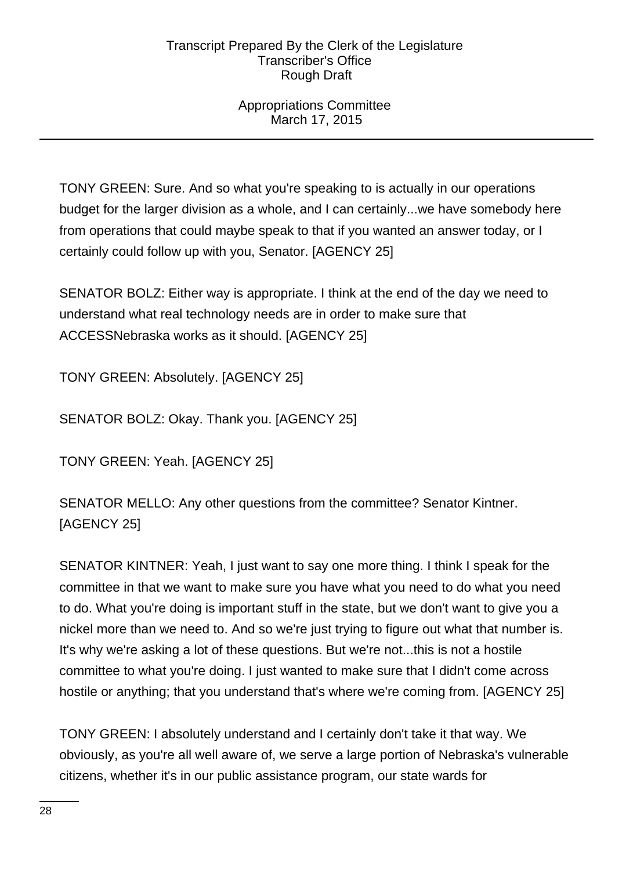## Appropriations Committee March 17, 2015

TONY GREEN: Sure. And so what you're speaking to is actually in our operations budget for the larger division as a whole, and I can certainly...we have somebody here from operations that could maybe speak to that if you wanted an answer today, or I certainly could follow up with you, Senator. [AGENCY 25]

SENATOR BOLZ: Either way is appropriate. I think at the end of the day we need to understand what real technology needs are in order to make sure that ACCESSNebraska works as it should. [AGENCY 25]

TONY GREEN: Absolutely. [AGENCY 25]

SENATOR BOLZ: Okay. Thank you. [AGENCY 25]

TONY GREEN: Yeah. [AGENCY 25]

SENATOR MELLO: Any other questions from the committee? Senator Kintner. [AGENCY 25]

SENATOR KINTNER: Yeah, I just want to say one more thing. I think I speak for the committee in that we want to make sure you have what you need to do what you need to do. What you're doing is important stuff in the state, but we don't want to give you a nickel more than we need to. And so we're just trying to figure out what that number is. It's why we're asking a lot of these questions. But we're not...this is not a hostile committee to what you're doing. I just wanted to make sure that I didn't come across hostile or anything; that you understand that's where we're coming from. [AGENCY 25]

TONY GREEN: I absolutely understand and I certainly don't take it that way. We obviously, as you're all well aware of, we serve a large portion of Nebraska's vulnerable citizens, whether it's in our public assistance program, our state wards for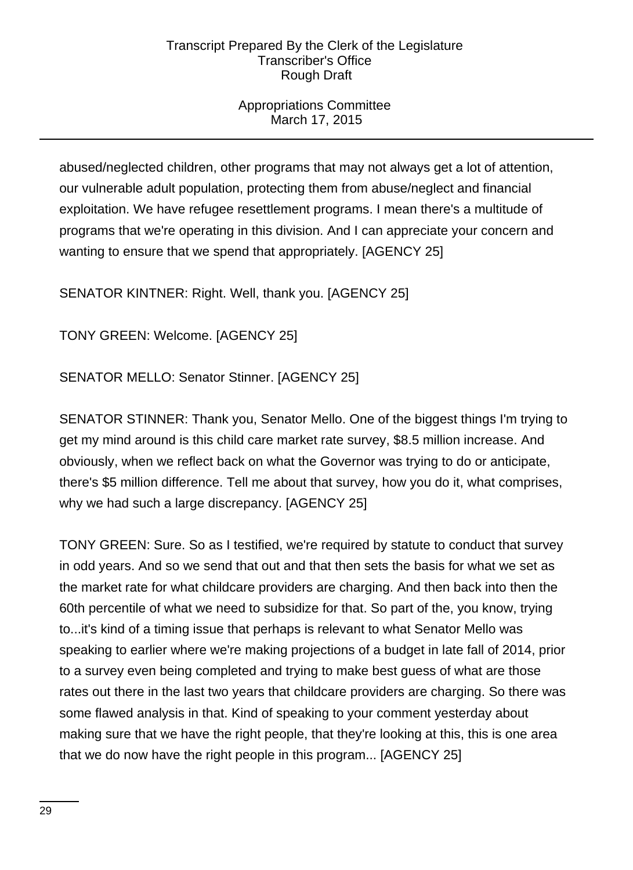# Appropriations Committee March 17, 2015

abused/neglected children, other programs that may not always get a lot of attention, our vulnerable adult population, protecting them from abuse/neglect and financial exploitation. We have refugee resettlement programs. I mean there's a multitude of programs that we're operating in this division. And I can appreciate your concern and wanting to ensure that we spend that appropriately. [AGENCY 25]

SENATOR KINTNER: Right. Well, thank you. [AGENCY 25]

TONY GREEN: Welcome. [AGENCY 25]

SENATOR MELLO: Senator Stinner. [AGENCY 25]

SENATOR STINNER: Thank you, Senator Mello. One of the biggest things I'm trying to get my mind around is this child care market rate survey, \$8.5 million increase. And obviously, when we reflect back on what the Governor was trying to do or anticipate, there's \$5 million difference. Tell me about that survey, how you do it, what comprises, why we had such a large discrepancy. [AGENCY 25]

TONY GREEN: Sure. So as I testified, we're required by statute to conduct that survey in odd years. And so we send that out and that then sets the basis for what we set as the market rate for what childcare providers are charging. And then back into then the 60th percentile of what we need to subsidize for that. So part of the, you know, trying to...it's kind of a timing issue that perhaps is relevant to what Senator Mello was speaking to earlier where we're making projections of a budget in late fall of 2014, prior to a survey even being completed and trying to make best guess of what are those rates out there in the last two years that childcare providers are charging. So there was some flawed analysis in that. Kind of speaking to your comment yesterday about making sure that we have the right people, that they're looking at this, this is one area that we do now have the right people in this program... [AGENCY 25]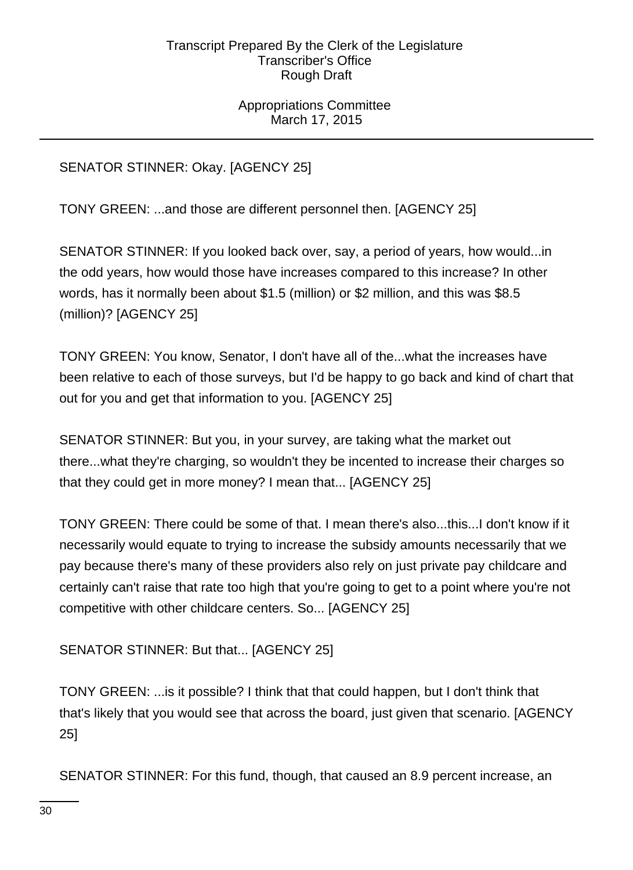Appropriations Committee March 17, 2015

SENATOR STINNER: Okay. [AGENCY 25]

TONY GREEN: ...and those are different personnel then. [AGENCY 25]

SENATOR STINNER: If you looked back over, say, a period of years, how would...in the odd years, how would those have increases compared to this increase? In other words, has it normally been about \$1.5 (million) or \$2 million, and this was \$8.5 (million)? [AGENCY 25]

TONY GREEN: You know, Senator, I don't have all of the...what the increases have been relative to each of those surveys, but I'd be happy to go back and kind of chart that out for you and get that information to you. [AGENCY 25]

SENATOR STINNER: But you, in your survey, are taking what the market out there...what they're charging, so wouldn't they be incented to increase their charges so that they could get in more money? I mean that... [AGENCY 25]

TONY GREEN: There could be some of that. I mean there's also...this...I don't know if it necessarily would equate to trying to increase the subsidy amounts necessarily that we pay because there's many of these providers also rely on just private pay childcare and certainly can't raise that rate too high that you're going to get to a point where you're not competitive with other childcare centers. So... [AGENCY 25]

SENATOR STINNER: But that... [AGENCY 25]

TONY GREEN: ...is it possible? I think that that could happen, but I don't think that that's likely that you would see that across the board, just given that scenario. [AGENCY 25]

SENATOR STINNER: For this fund, though, that caused an 8.9 percent increase, an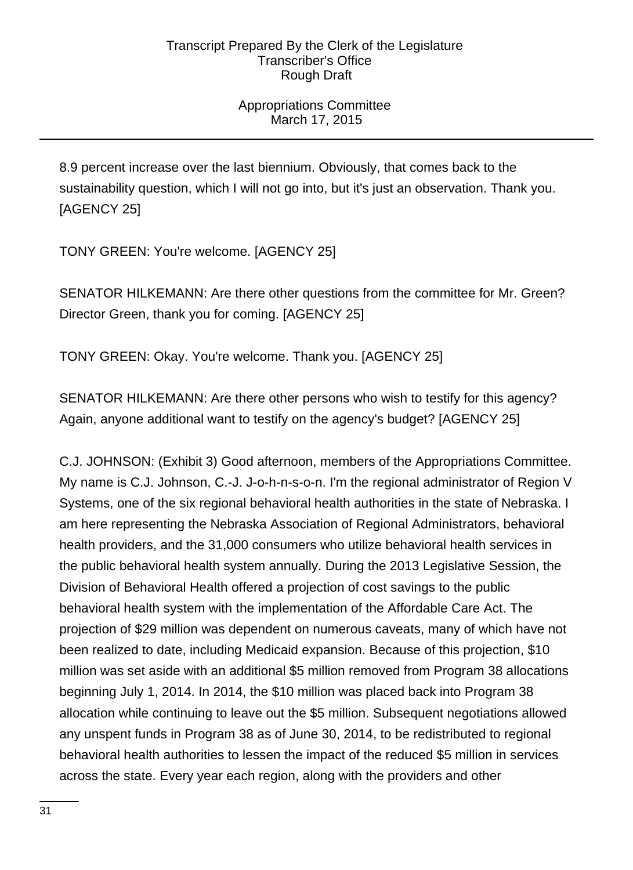# Appropriations Committee March 17, 2015

8.9 percent increase over the last biennium. Obviously, that comes back to the sustainability question, which I will not go into, but it's just an observation. Thank you. [AGENCY 25]

TONY GREEN: You're welcome. [AGENCY 25]

SENATOR HILKEMANN: Are there other questions from the committee for Mr. Green? Director Green, thank you for coming. [AGENCY 25]

TONY GREEN: Okay. You're welcome. Thank you. [AGENCY 25]

SENATOR HILKEMANN: Are there other persons who wish to testify for this agency? Again, anyone additional want to testify on the agency's budget? [AGENCY 25]

C.J. JOHNSON: (Exhibit 3) Good afternoon, members of the Appropriations Committee. My name is C.J. Johnson, C.-J. J-o-h-n-s-o-n. I'm the regional administrator of Region V Systems, one of the six regional behavioral health authorities in the state of Nebraska. I am here representing the Nebraska Association of Regional Administrators, behavioral health providers, and the 31,000 consumers who utilize behavioral health services in the public behavioral health system annually. During the 2013 Legislative Session, the Division of Behavioral Health offered a projection of cost savings to the public behavioral health system with the implementation of the Affordable Care Act. The projection of \$29 million was dependent on numerous caveats, many of which have not been realized to date, including Medicaid expansion. Because of this projection, \$10 million was set aside with an additional \$5 million removed from Program 38 allocations beginning July 1, 2014. In 2014, the \$10 million was placed back into Program 38 allocation while continuing to leave out the \$5 million. Subsequent negotiations allowed any unspent funds in Program 38 as of June 30, 2014, to be redistributed to regional behavioral health authorities to lessen the impact of the reduced \$5 million in services across the state. Every year each region, along with the providers and other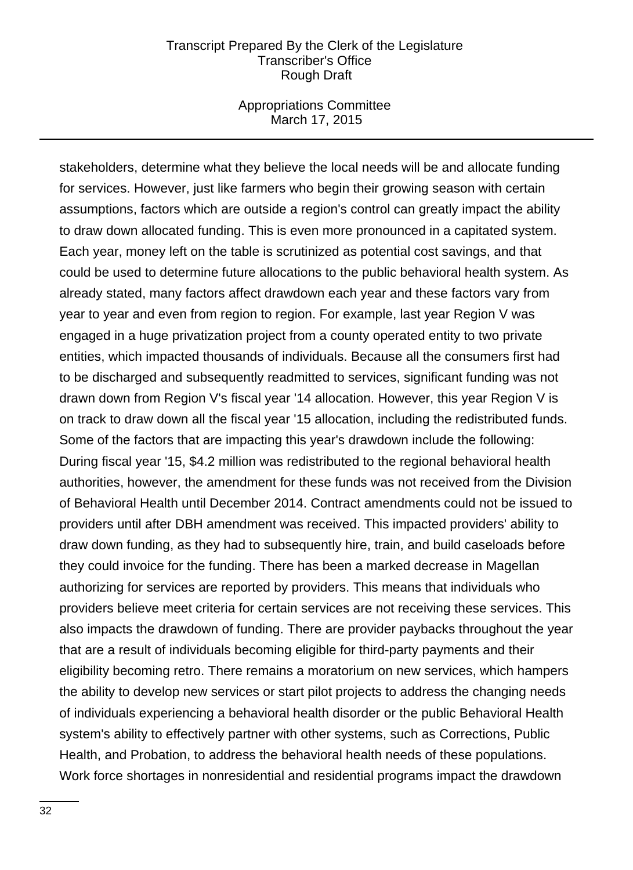#### Appropriations Committee March 17, 2015

stakeholders, determine what they believe the local needs will be and allocate funding for services. However, just like farmers who begin their growing season with certain assumptions, factors which are outside a region's control can greatly impact the ability to draw down allocated funding. This is even more pronounced in a capitated system. Each year, money left on the table is scrutinized as potential cost savings, and that could be used to determine future allocations to the public behavioral health system. As already stated, many factors affect drawdown each year and these factors vary from year to year and even from region to region. For example, last year Region V was engaged in a huge privatization project from a county operated entity to two private entities, which impacted thousands of individuals. Because all the consumers first had to be discharged and subsequently readmitted to services, significant funding was not drawn down from Region V's fiscal year '14 allocation. However, this year Region V is on track to draw down all the fiscal year '15 allocation, including the redistributed funds. Some of the factors that are impacting this year's drawdown include the following: During fiscal year '15, \$4.2 million was redistributed to the regional behavioral health authorities, however, the amendment for these funds was not received from the Division of Behavioral Health until December 2014. Contract amendments could not be issued to providers until after DBH amendment was received. This impacted providers' ability to draw down funding, as they had to subsequently hire, train, and build caseloads before they could invoice for the funding. There has been a marked decrease in Magellan authorizing for services are reported by providers. This means that individuals who providers believe meet criteria for certain services are not receiving these services. This also impacts the drawdown of funding. There are provider paybacks throughout the year that are a result of individuals becoming eligible for third-party payments and their eligibility becoming retro. There remains a moratorium on new services, which hampers the ability to develop new services or start pilot projects to address the changing needs of individuals experiencing a behavioral health disorder or the public Behavioral Health system's ability to effectively partner with other systems, such as Corrections, Public Health, and Probation, to address the behavioral health needs of these populations. Work force shortages in nonresidential and residential programs impact the drawdown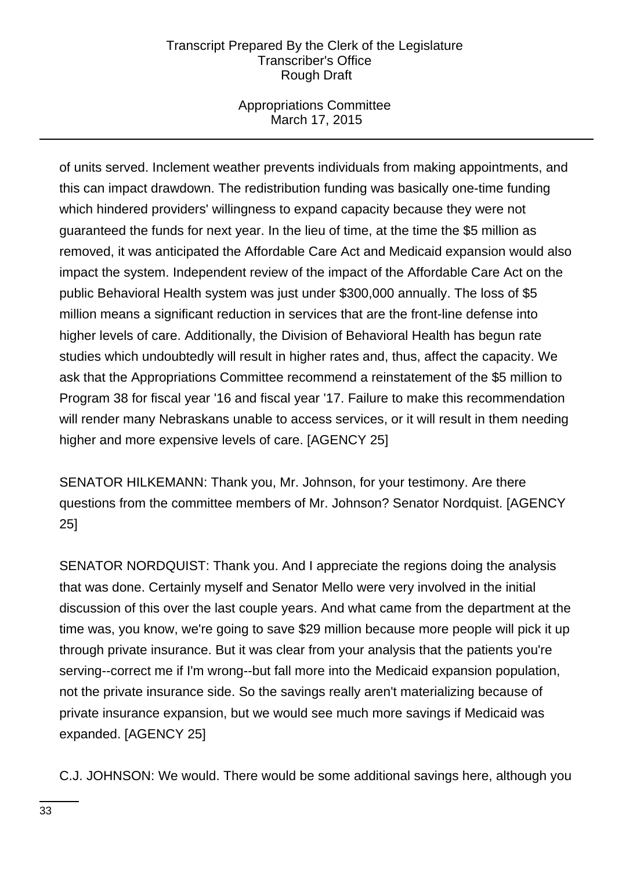# Appropriations Committee March 17, 2015

of units served. Inclement weather prevents individuals from making appointments, and this can impact drawdown. The redistribution funding was basically one-time funding which hindered providers' willingness to expand capacity because they were not guaranteed the funds for next year. In the lieu of time, at the time the \$5 million as removed, it was anticipated the Affordable Care Act and Medicaid expansion would also impact the system. Independent review of the impact of the Affordable Care Act on the public Behavioral Health system was just under \$300,000 annually. The loss of \$5 million means a significant reduction in services that are the front-line defense into higher levels of care. Additionally, the Division of Behavioral Health has begun rate studies which undoubtedly will result in higher rates and, thus, affect the capacity. We ask that the Appropriations Committee recommend a reinstatement of the \$5 million to Program 38 for fiscal year '16 and fiscal year '17. Failure to make this recommendation will render many Nebraskans unable to access services, or it will result in them needing higher and more expensive levels of care. [AGENCY 25]

SENATOR HILKEMANN: Thank you, Mr. Johnson, for your testimony. Are there questions from the committee members of Mr. Johnson? Senator Nordquist. [AGENCY 25]

SENATOR NORDQUIST: Thank you. And I appreciate the regions doing the analysis that was done. Certainly myself and Senator Mello were very involved in the initial discussion of this over the last couple years. And what came from the department at the time was, you know, we're going to save \$29 million because more people will pick it up through private insurance. But it was clear from your analysis that the patients you're serving--correct me if I'm wrong--but fall more into the Medicaid expansion population, not the private insurance side. So the savings really aren't materializing because of private insurance expansion, but we would see much more savings if Medicaid was expanded. [AGENCY 25]

C.J. JOHNSON: We would. There would be some additional savings here, although you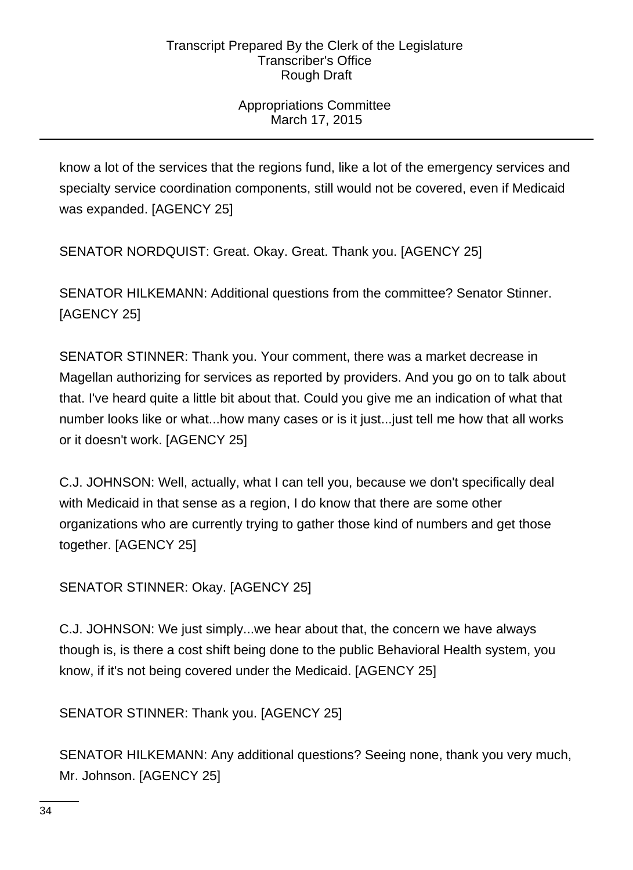# Appropriations Committee March 17, 2015

know a lot of the services that the regions fund, like a lot of the emergency services and specialty service coordination components, still would not be covered, even if Medicaid was expanded. [AGENCY 25]

SENATOR NORDQUIST: Great. Okay. Great. Thank you. [AGENCY 25]

SENATOR HILKEMANN: Additional questions from the committee? Senator Stinner. [AGENCY 25]

SENATOR STINNER: Thank you. Your comment, there was a market decrease in Magellan authorizing for services as reported by providers. And you go on to talk about that. I've heard quite a little bit about that. Could you give me an indication of what that number looks like or what...how many cases or is it just...just tell me how that all works or it doesn't work. [AGENCY 25]

C.J. JOHNSON: Well, actually, what I can tell you, because we don't specifically deal with Medicaid in that sense as a region, I do know that there are some other organizations who are currently trying to gather those kind of numbers and get those together. [AGENCY 25]

SENATOR STINNER: Okay. [AGENCY 25]

C.J. JOHNSON: We just simply...we hear about that, the concern we have always though is, is there a cost shift being done to the public Behavioral Health system, you know, if it's not being covered under the Medicaid. [AGENCY 25]

SENATOR STINNER: Thank you. [AGENCY 25]

SENATOR HILKEMANN: Any additional questions? Seeing none, thank you very much, Mr. Johnson. [AGENCY 25]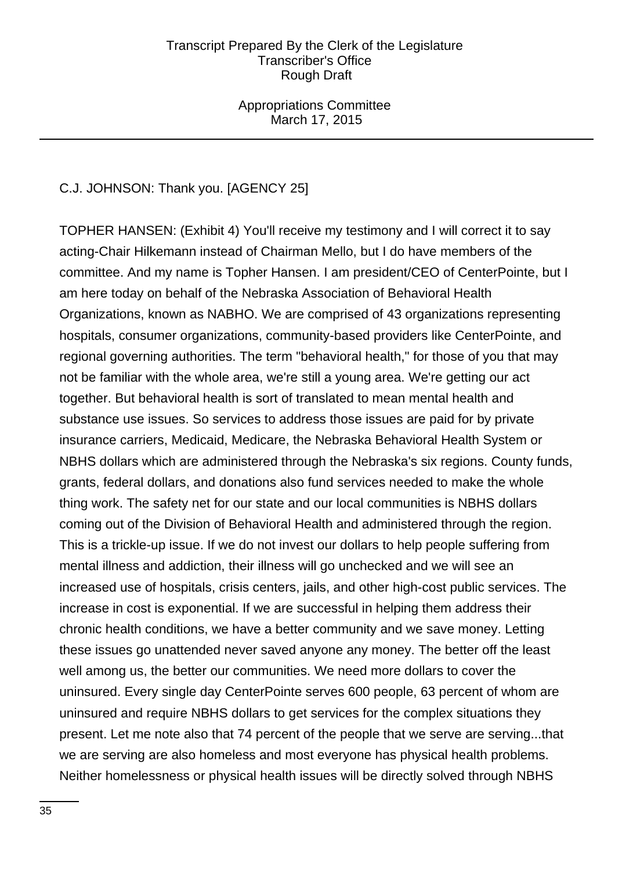Appropriations Committee March 17, 2015

# C.J. JOHNSON: Thank you. [AGENCY 25]

TOPHER HANSEN: (Exhibit 4) You'll receive my testimony and I will correct it to say acting-Chair Hilkemann instead of Chairman Mello, but I do have members of the committee. And my name is Topher Hansen. I am president/CEO of CenterPointe, but I am here today on behalf of the Nebraska Association of Behavioral Health Organizations, known as NABHO. We are comprised of 43 organizations representing hospitals, consumer organizations, community-based providers like CenterPointe, and regional governing authorities. The term "behavioral health," for those of you that may not be familiar with the whole area, we're still a young area. We're getting our act together. But behavioral health is sort of translated to mean mental health and substance use issues. So services to address those issues are paid for by private insurance carriers, Medicaid, Medicare, the Nebraska Behavioral Health System or NBHS dollars which are administered through the Nebraska's six regions. County funds, grants, federal dollars, and donations also fund services needed to make the whole thing work. The safety net for our state and our local communities is NBHS dollars coming out of the Division of Behavioral Health and administered through the region. This is a trickle-up issue. If we do not invest our dollars to help people suffering from mental illness and addiction, their illness will go unchecked and we will see an increased use of hospitals, crisis centers, jails, and other high-cost public services. The increase in cost is exponential. If we are successful in helping them address their chronic health conditions, we have a better community and we save money. Letting these issues go unattended never saved anyone any money. The better off the least well among us, the better our communities. We need more dollars to cover the uninsured. Every single day CenterPointe serves 600 people, 63 percent of whom are uninsured and require NBHS dollars to get services for the complex situations they present. Let me note also that 74 percent of the people that we serve are serving...that we are serving are also homeless and most everyone has physical health problems. Neither homelessness or physical health issues will be directly solved through NBHS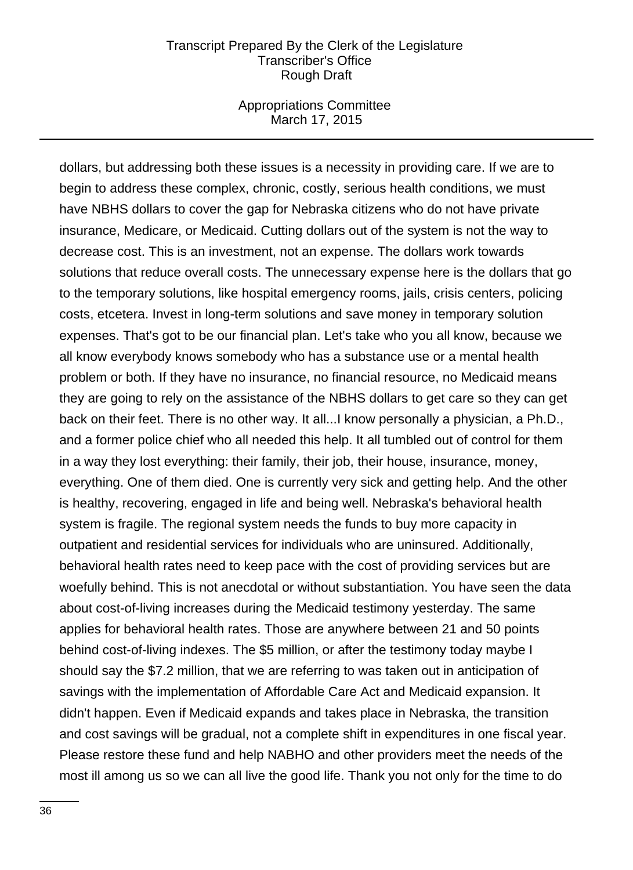#### Appropriations Committee March 17, 2015

dollars, but addressing both these issues is a necessity in providing care. If we are to begin to address these complex, chronic, costly, serious health conditions, we must have NBHS dollars to cover the gap for Nebraska citizens who do not have private insurance, Medicare, or Medicaid. Cutting dollars out of the system is not the way to decrease cost. This is an investment, not an expense. The dollars work towards solutions that reduce overall costs. The unnecessary expense here is the dollars that go to the temporary solutions, like hospital emergency rooms, jails, crisis centers, policing costs, etcetera. Invest in long-term solutions and save money in temporary solution expenses. That's got to be our financial plan. Let's take who you all know, because we all know everybody knows somebody who has a substance use or a mental health problem or both. If they have no insurance, no financial resource, no Medicaid means they are going to rely on the assistance of the NBHS dollars to get care so they can get back on their feet. There is no other way. It all...I know personally a physician, a Ph.D., and a former police chief who all needed this help. It all tumbled out of control for them in a way they lost everything: their family, their job, their house, insurance, money, everything. One of them died. One is currently very sick and getting help. And the other is healthy, recovering, engaged in life and being well. Nebraska's behavioral health system is fragile. The regional system needs the funds to buy more capacity in outpatient and residential services for individuals who are uninsured. Additionally, behavioral health rates need to keep pace with the cost of providing services but are woefully behind. This is not anecdotal or without substantiation. You have seen the data about cost-of-living increases during the Medicaid testimony yesterday. The same applies for behavioral health rates. Those are anywhere between 21 and 50 points behind cost-of-living indexes. The \$5 million, or after the testimony today maybe I should say the \$7.2 million, that we are referring to was taken out in anticipation of savings with the implementation of Affordable Care Act and Medicaid expansion. It didn't happen. Even if Medicaid expands and takes place in Nebraska, the transition and cost savings will be gradual, not a complete shift in expenditures in one fiscal year. Please restore these fund and help NABHO and other providers meet the needs of the most ill among us so we can all live the good life. Thank you not only for the time to do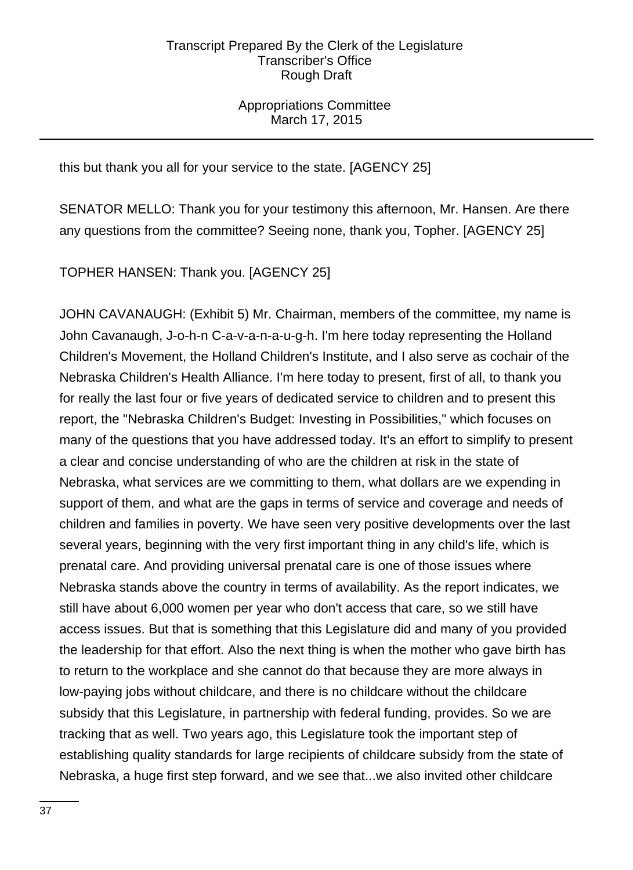Appropriations Committee March 17, 2015

this but thank you all for your service to the state. [AGENCY 25]

SENATOR MELLO: Thank you for your testimony this afternoon, Mr. Hansen. Are there any questions from the committee? Seeing none, thank you, Topher. [AGENCY 25]

TOPHER HANSEN: Thank you. [AGENCY 25]

JOHN CAVANAUGH: (Exhibit 5) Mr. Chairman, members of the committee, my name is John Cavanaugh, J-o-h-n C-a-v-a-n-a-u-g-h. I'm here today representing the Holland Children's Movement, the Holland Children's Institute, and I also serve as cochair of the Nebraska Children's Health Alliance. I'm here today to present, first of all, to thank you for really the last four or five years of dedicated service to children and to present this report, the "Nebraska Children's Budget: Investing in Possibilities," which focuses on many of the questions that you have addressed today. It's an effort to simplify to present a clear and concise understanding of who are the children at risk in the state of Nebraska, what services are we committing to them, what dollars are we expending in support of them, and what are the gaps in terms of service and coverage and needs of children and families in poverty. We have seen very positive developments over the last several years, beginning with the very first important thing in any child's life, which is prenatal care. And providing universal prenatal care is one of those issues where Nebraska stands above the country in terms of availability. As the report indicates, we still have about 6,000 women per year who don't access that care, so we still have access issues. But that is something that this Legislature did and many of you provided the leadership for that effort. Also the next thing is when the mother who gave birth has to return to the workplace and she cannot do that because they are more always in low-paying jobs without childcare, and there is no childcare without the childcare subsidy that this Legislature, in partnership with federal funding, provides. So we are tracking that as well. Two years ago, this Legislature took the important step of establishing quality standards for large recipients of childcare subsidy from the state of Nebraska, a huge first step forward, and we see that...we also invited other childcare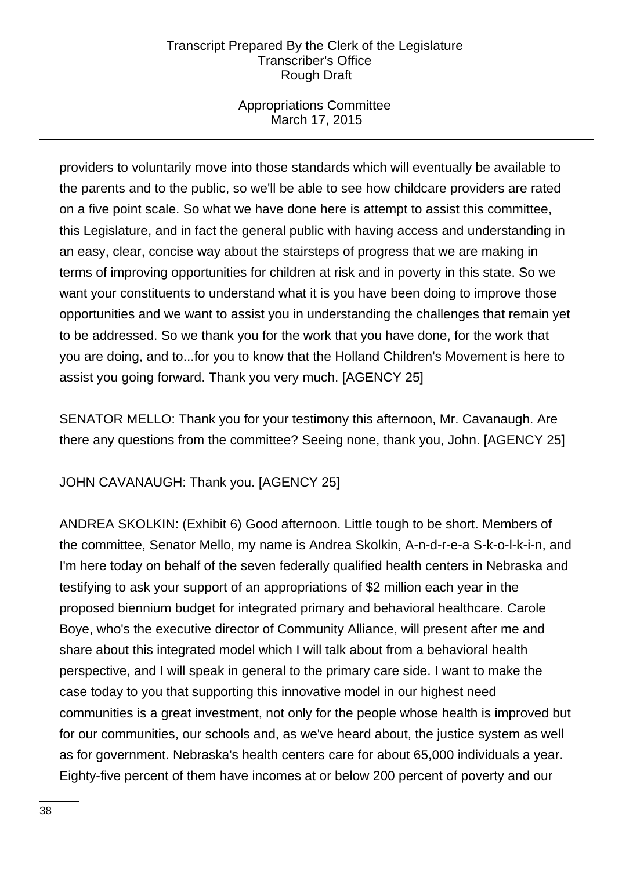# Appropriations Committee March 17, 2015

providers to voluntarily move into those standards which will eventually be available to the parents and to the public, so we'll be able to see how childcare providers are rated on a five point scale. So what we have done here is attempt to assist this committee, this Legislature, and in fact the general public with having access and understanding in an easy, clear, concise way about the stairsteps of progress that we are making in terms of improving opportunities for children at risk and in poverty in this state. So we want your constituents to understand what it is you have been doing to improve those opportunities and we want to assist you in understanding the challenges that remain yet to be addressed. So we thank you for the work that you have done, for the work that you are doing, and to...for you to know that the Holland Children's Movement is here to assist you going forward. Thank you very much. [AGENCY 25]

SENATOR MELLO: Thank you for your testimony this afternoon, Mr. Cavanaugh. Are there any questions from the committee? Seeing none, thank you, John. [AGENCY 25]

JOHN CAVANAUGH: Thank you. [AGENCY 25]

ANDREA SKOLKIN: (Exhibit 6) Good afternoon. Little tough to be short. Members of the committee, Senator Mello, my name is Andrea Skolkin, A-n-d-r-e-a S-k-o-l-k-i-n, and I'm here today on behalf of the seven federally qualified health centers in Nebraska and testifying to ask your support of an appropriations of \$2 million each year in the proposed biennium budget for integrated primary and behavioral healthcare. Carole Boye, who's the executive director of Community Alliance, will present after me and share about this integrated model which I will talk about from a behavioral health perspective, and I will speak in general to the primary care side. I want to make the case today to you that supporting this innovative model in our highest need communities is a great investment, not only for the people whose health is improved but for our communities, our schools and, as we've heard about, the justice system as well as for government. Nebraska's health centers care for about 65,000 individuals a year. Eighty-five percent of them have incomes at or below 200 percent of poverty and our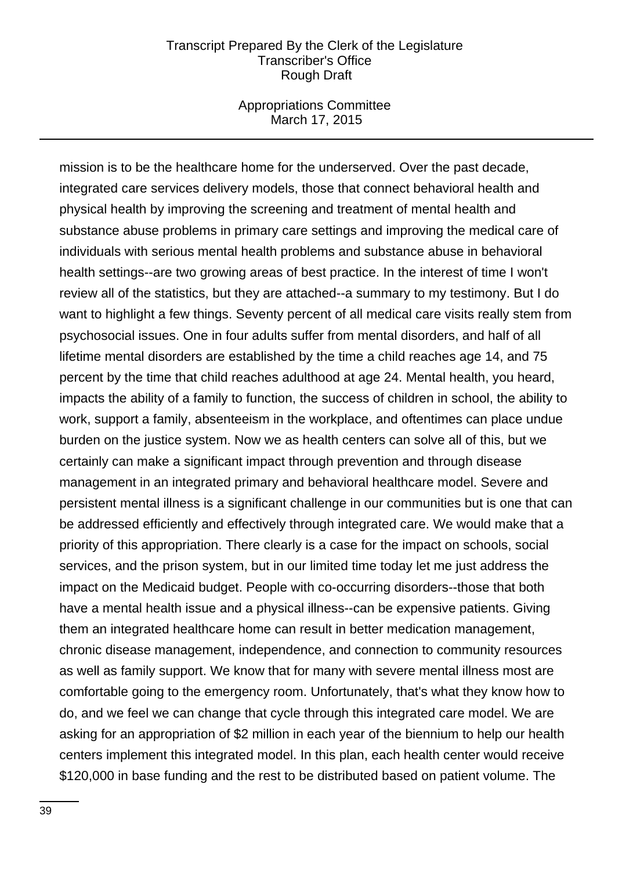#### Appropriations Committee March 17, 2015

mission is to be the healthcare home for the underserved. Over the past decade, integrated care services delivery models, those that connect behavioral health and physical health by improving the screening and treatment of mental health and substance abuse problems in primary care settings and improving the medical care of individuals with serious mental health problems and substance abuse in behavioral health settings--are two growing areas of best practice. In the interest of time I won't review all of the statistics, but they are attached--a summary to my testimony. But I do want to highlight a few things. Seventy percent of all medical care visits really stem from psychosocial issues. One in four adults suffer from mental disorders, and half of all lifetime mental disorders are established by the time a child reaches age 14, and 75 percent by the time that child reaches adulthood at age 24. Mental health, you heard, impacts the ability of a family to function, the success of children in school, the ability to work, support a family, absenteeism in the workplace, and oftentimes can place undue burden on the justice system. Now we as health centers can solve all of this, but we certainly can make a significant impact through prevention and through disease management in an integrated primary and behavioral healthcare model. Severe and persistent mental illness is a significant challenge in our communities but is one that can be addressed efficiently and effectively through integrated care. We would make that a priority of this appropriation. There clearly is a case for the impact on schools, social services, and the prison system, but in our limited time today let me just address the impact on the Medicaid budget. People with co-occurring disorders--those that both have a mental health issue and a physical illness--can be expensive patients. Giving them an integrated healthcare home can result in better medication management, chronic disease management, independence, and connection to community resources as well as family support. We know that for many with severe mental illness most are comfortable going to the emergency room. Unfortunately, that's what they know how to do, and we feel we can change that cycle through this integrated care model. We are asking for an appropriation of \$2 million in each year of the biennium to help our health centers implement this integrated model. In this plan, each health center would receive \$120,000 in base funding and the rest to be distributed based on patient volume. The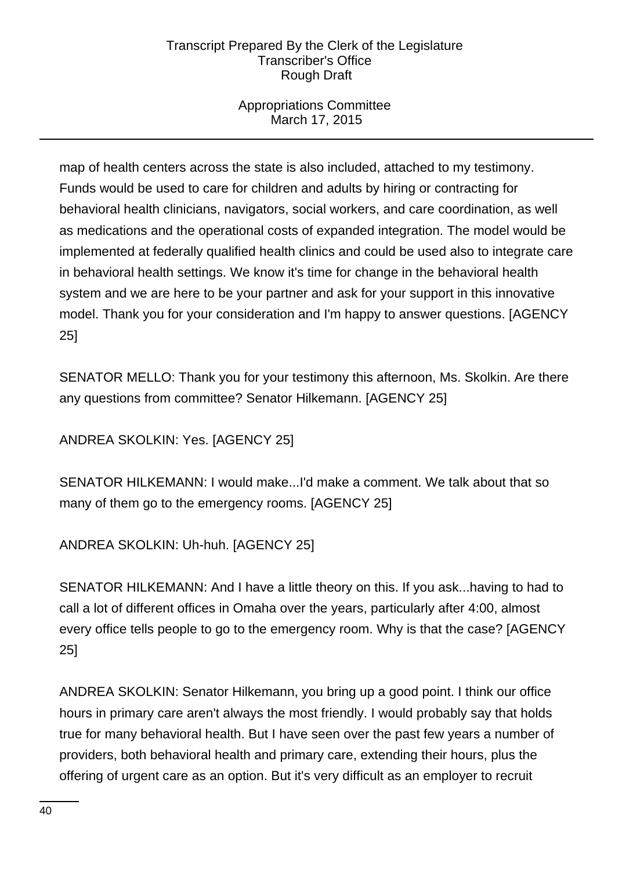# Appropriations Committee March 17, 2015

map of health centers across the state is also included, attached to my testimony. Funds would be used to care for children and adults by hiring or contracting for behavioral health clinicians, navigators, social workers, and care coordination, as well as medications and the operational costs of expanded integration. The model would be implemented at federally qualified health clinics and could be used also to integrate care in behavioral health settings. We know it's time for change in the behavioral health system and we are here to be your partner and ask for your support in this innovative model. Thank you for your consideration and I'm happy to answer questions. [AGENCY 25]

SENATOR MELLO: Thank you for your testimony this afternoon, Ms. Skolkin. Are there any questions from committee? Senator Hilkemann. [AGENCY 25]

ANDREA SKOLKIN: Yes. [AGENCY 25]

SENATOR HILKEMANN: I would make...I'd make a comment. We talk about that so many of them go to the emergency rooms. [AGENCY 25]

ANDREA SKOLKIN: Uh-huh. [AGENCY 25]

SENATOR HILKEMANN: And I have a little theory on this. If you ask...having to had to call a lot of different offices in Omaha over the years, particularly after 4:00, almost every office tells people to go to the emergency room. Why is that the case? [AGENCY 25]

ANDREA SKOLKIN: Senator Hilkemann, you bring up a good point. I think our office hours in primary care aren't always the most friendly. I would probably say that holds true for many behavioral health. But I have seen over the past few years a number of providers, both behavioral health and primary care, extending their hours, plus the offering of urgent care as an option. But it's very difficult as an employer to recruit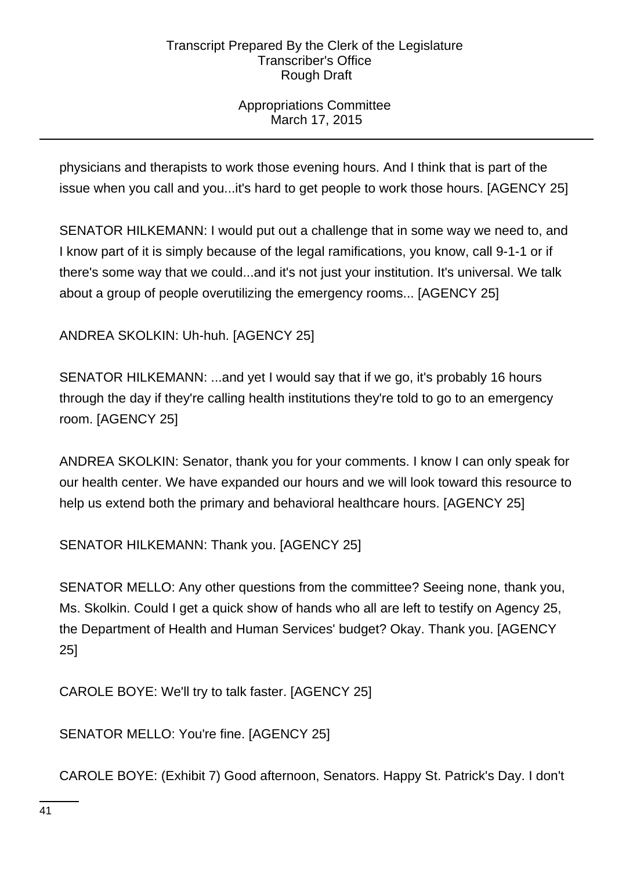# Appropriations Committee March 17, 2015

physicians and therapists to work those evening hours. And I think that is part of the issue when you call and you...it's hard to get people to work those hours. [AGENCY 25]

SENATOR HILKEMANN: I would put out a challenge that in some way we need to, and I know part of it is simply because of the legal ramifications, you know, call 9-1-1 or if there's some way that we could...and it's not just your institution. It's universal. We talk about a group of people overutilizing the emergency rooms... [AGENCY 25]

ANDREA SKOLKIN: Uh-huh. [AGENCY 25]

SENATOR HILKEMANN: ...and yet I would say that if we go, it's probably 16 hours through the day if they're calling health institutions they're told to go to an emergency room. [AGENCY 25]

ANDREA SKOLKIN: Senator, thank you for your comments. I know I can only speak for our health center. We have expanded our hours and we will look toward this resource to help us extend both the primary and behavioral healthcare hours. [AGENCY 25]

SENATOR HILKEMANN: Thank you. [AGENCY 25]

SENATOR MELLO: Any other questions from the committee? Seeing none, thank you, Ms. Skolkin. Could I get a quick show of hands who all are left to testify on Agency 25, the Department of Health and Human Services' budget? Okay. Thank you. [AGENCY 25]

CAROLE BOYE: We'll try to talk faster. [AGENCY 25]

SENATOR MELLO: You're fine. [AGENCY 25]

CAROLE BOYE: (Exhibit 7) Good afternoon, Senators. Happy St. Patrick's Day. I don't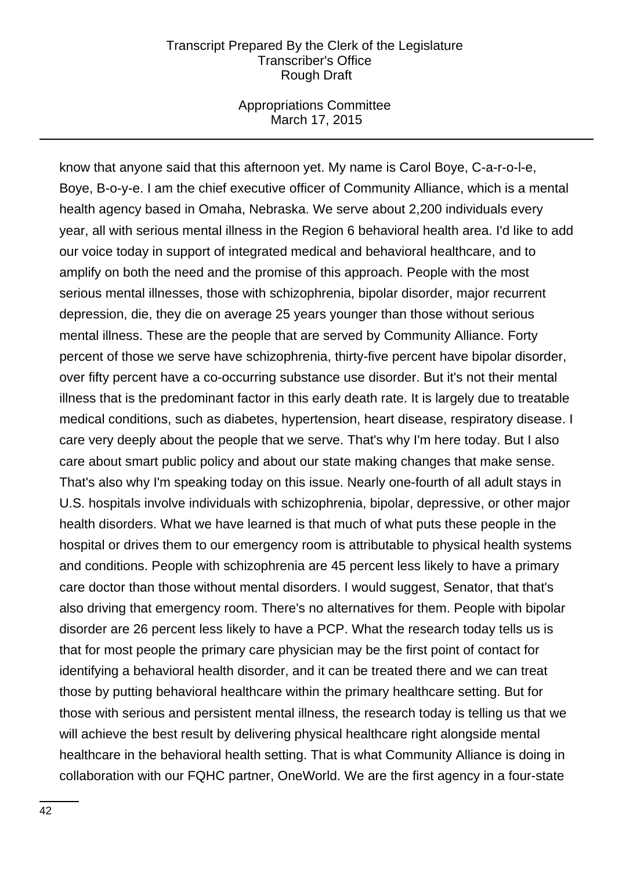#### Appropriations Committee March 17, 2015

know that anyone said that this afternoon yet. My name is Carol Boye, C-a-r-o-l-e, Boye, B-o-y-e. I am the chief executive officer of Community Alliance, which is a mental health agency based in Omaha, Nebraska. We serve about 2,200 individuals every year, all with serious mental illness in the Region 6 behavioral health area. I'd like to add our voice today in support of integrated medical and behavioral healthcare, and to amplify on both the need and the promise of this approach. People with the most serious mental illnesses, those with schizophrenia, bipolar disorder, major recurrent depression, die, they die on average 25 years younger than those without serious mental illness. These are the people that are served by Community Alliance. Forty percent of those we serve have schizophrenia, thirty-five percent have bipolar disorder, over fifty percent have a co-occurring substance use disorder. But it's not their mental illness that is the predominant factor in this early death rate. It is largely due to treatable medical conditions, such as diabetes, hypertension, heart disease, respiratory disease. I care very deeply about the people that we serve. That's why I'm here today. But I also care about smart public policy and about our state making changes that make sense. That's also why I'm speaking today on this issue. Nearly one-fourth of all adult stays in U.S. hospitals involve individuals with schizophrenia, bipolar, depressive, or other major health disorders. What we have learned is that much of what puts these people in the hospital or drives them to our emergency room is attributable to physical health systems and conditions. People with schizophrenia are 45 percent less likely to have a primary care doctor than those without mental disorders. I would suggest, Senator, that that's also driving that emergency room. There's no alternatives for them. People with bipolar disorder are 26 percent less likely to have a PCP. What the research today tells us is that for most people the primary care physician may be the first point of contact for identifying a behavioral health disorder, and it can be treated there and we can treat those by putting behavioral healthcare within the primary healthcare setting. But for those with serious and persistent mental illness, the research today is telling us that we will achieve the best result by delivering physical healthcare right alongside mental healthcare in the behavioral health setting. That is what Community Alliance is doing in collaboration with our FQHC partner, OneWorld. We are the first agency in a four-state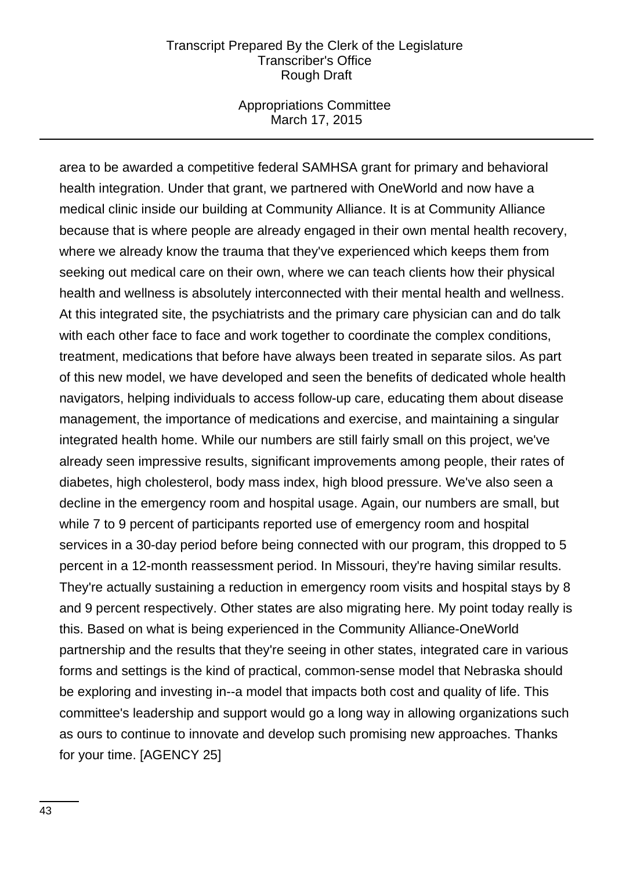#### Appropriations Committee March 17, 2015

area to be awarded a competitive federal SAMHSA grant for primary and behavioral health integration. Under that grant, we partnered with OneWorld and now have a medical clinic inside our building at Community Alliance. It is at Community Alliance because that is where people are already engaged in their own mental health recovery, where we already know the trauma that they've experienced which keeps them from seeking out medical care on their own, where we can teach clients how their physical health and wellness is absolutely interconnected with their mental health and wellness. At this integrated site, the psychiatrists and the primary care physician can and do talk with each other face to face and work together to coordinate the complex conditions, treatment, medications that before have always been treated in separate silos. As part of this new model, we have developed and seen the benefits of dedicated whole health navigators, helping individuals to access follow-up care, educating them about disease management, the importance of medications and exercise, and maintaining a singular integrated health home. While our numbers are still fairly small on this project, we've already seen impressive results, significant improvements among people, their rates of diabetes, high cholesterol, body mass index, high blood pressure. We've also seen a decline in the emergency room and hospital usage. Again, our numbers are small, but while 7 to 9 percent of participants reported use of emergency room and hospital services in a 30-day period before being connected with our program, this dropped to 5 percent in a 12-month reassessment period. In Missouri, they're having similar results. They're actually sustaining a reduction in emergency room visits and hospital stays by 8 and 9 percent respectively. Other states are also migrating here. My point today really is this. Based on what is being experienced in the Community Alliance-OneWorld partnership and the results that they're seeing in other states, integrated care in various forms and settings is the kind of practical, common-sense model that Nebraska should be exploring and investing in--a model that impacts both cost and quality of life. This committee's leadership and support would go a long way in allowing organizations such as ours to continue to innovate and develop such promising new approaches. Thanks for your time. [AGENCY 25]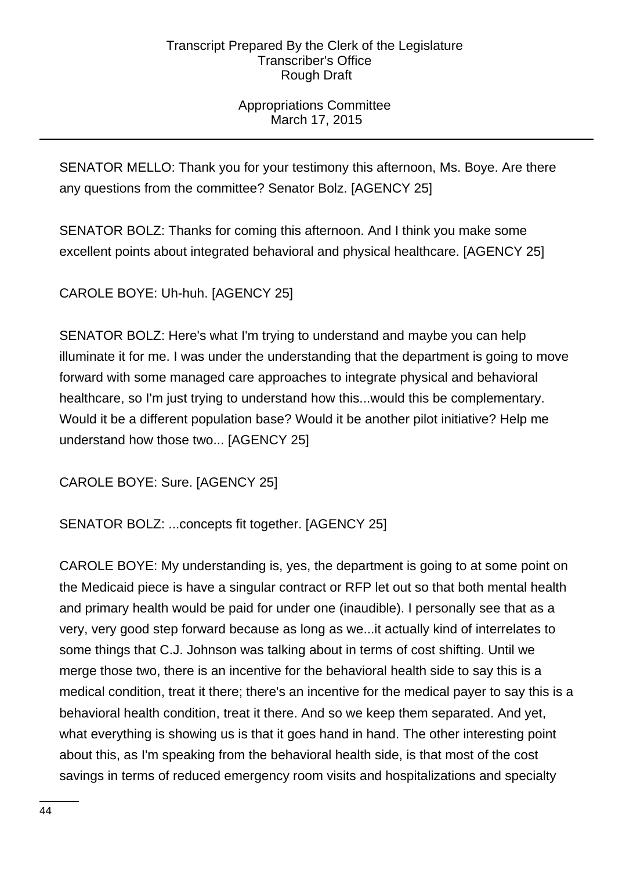# Appropriations Committee March 17, 2015

SENATOR MELLO: Thank you for your testimony this afternoon, Ms. Boye. Are there any questions from the committee? Senator Bolz. [AGENCY 25]

SENATOR BOLZ: Thanks for coming this afternoon. And I think you make some excellent points about integrated behavioral and physical healthcare. [AGENCY 25]

CAROLE BOYE: Uh-huh. [AGENCY 25]

SENATOR BOLZ: Here's what I'm trying to understand and maybe you can help illuminate it for me. I was under the understanding that the department is going to move forward with some managed care approaches to integrate physical and behavioral healthcare, so I'm just trying to understand how this...would this be complementary. Would it be a different population base? Would it be another pilot initiative? Help me understand how those two... [AGENCY 25]

CAROLE BOYE: Sure. [AGENCY 25]

SENATOR BOLZ: ...concepts fit together. [AGENCY 25]

CAROLE BOYE: My understanding is, yes, the department is going to at some point on the Medicaid piece is have a singular contract or RFP let out so that both mental health and primary health would be paid for under one (inaudible). I personally see that as a very, very good step forward because as long as we...it actually kind of interrelates to some things that C.J. Johnson was talking about in terms of cost shifting. Until we merge those two, there is an incentive for the behavioral health side to say this is a medical condition, treat it there; there's an incentive for the medical payer to say this is a behavioral health condition, treat it there. And so we keep them separated. And yet, what everything is showing us is that it goes hand in hand. The other interesting point about this, as I'm speaking from the behavioral health side, is that most of the cost savings in terms of reduced emergency room visits and hospitalizations and specialty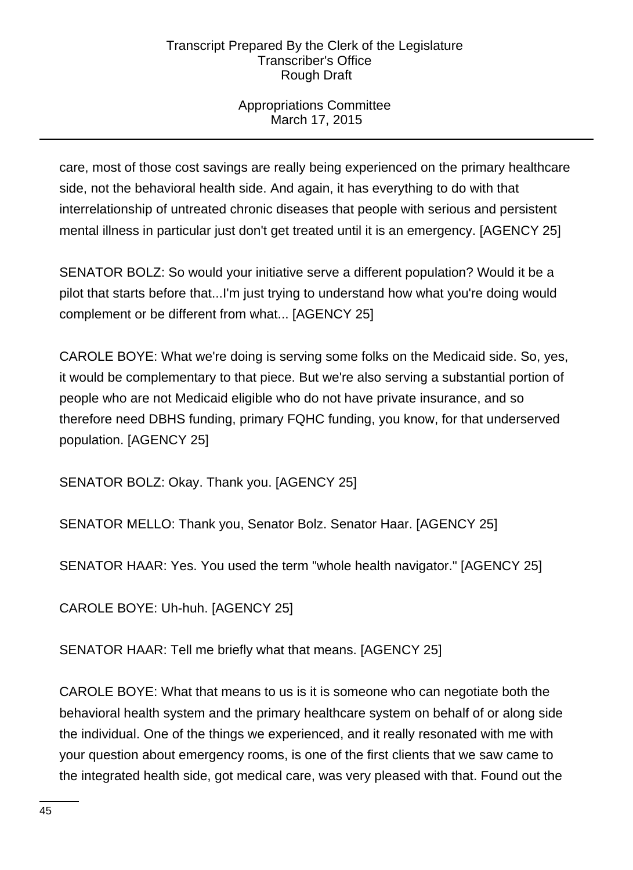# Appropriations Committee March 17, 2015

care, most of those cost savings are really being experienced on the primary healthcare side, not the behavioral health side. And again, it has everything to do with that interrelationship of untreated chronic diseases that people with serious and persistent mental illness in particular just don't get treated until it is an emergency. [AGENCY 25]

SENATOR BOLZ: So would your initiative serve a different population? Would it be a pilot that starts before that...I'm just trying to understand how what you're doing would complement or be different from what... [AGENCY 25]

CAROLE BOYE: What we're doing is serving some folks on the Medicaid side. So, yes, it would be complementary to that piece. But we're also serving a substantial portion of people who are not Medicaid eligible who do not have private insurance, and so therefore need DBHS funding, primary FQHC funding, you know, for that underserved population. [AGENCY 25]

SENATOR BOLZ: Okay. Thank you. [AGENCY 25]

SENATOR MELLO: Thank you, Senator Bolz. Senator Haar. [AGENCY 25]

SENATOR HAAR: Yes. You used the term "whole health navigator." [AGENCY 25]

CAROLE BOYE: Uh-huh. [AGENCY 25]

SENATOR HAAR: Tell me briefly what that means. [AGENCY 25]

CAROLE BOYE: What that means to us is it is someone who can negotiate both the behavioral health system and the primary healthcare system on behalf of or along side the individual. One of the things we experienced, and it really resonated with me with your question about emergency rooms, is one of the first clients that we saw came to the integrated health side, got medical care, was very pleased with that. Found out the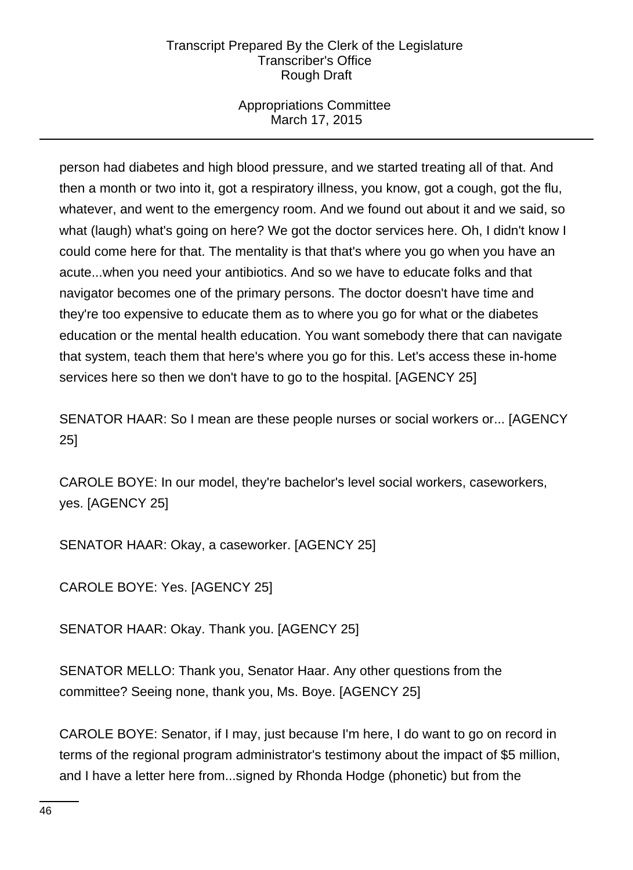# Appropriations Committee March 17, 2015

person had diabetes and high blood pressure, and we started treating all of that. And then a month or two into it, got a respiratory illness, you know, got a cough, got the flu, whatever, and went to the emergency room. And we found out about it and we said, so what (laugh) what's going on here? We got the doctor services here. Oh, I didn't know I could come here for that. The mentality is that that's where you go when you have an acute...when you need your antibiotics. And so we have to educate folks and that navigator becomes one of the primary persons. The doctor doesn't have time and they're too expensive to educate them as to where you go for what or the diabetes education or the mental health education. You want somebody there that can navigate that system, teach them that here's where you go for this. Let's access these in-home services here so then we don't have to go to the hospital. [AGENCY 25]

SENATOR HAAR: So I mean are these people nurses or social workers or... [AGENCY 25]

CAROLE BOYE: In our model, they're bachelor's level social workers, caseworkers, yes. [AGENCY 25]

SENATOR HAAR: Okay, a caseworker. [AGENCY 25]

CAROLE BOYE: Yes. [AGENCY 25]

SENATOR HAAR: Okay. Thank you. [AGENCY 25]

SENATOR MELLO: Thank you, Senator Haar. Any other questions from the committee? Seeing none, thank you, Ms. Boye. [AGENCY 25]

CAROLE BOYE: Senator, if I may, just because I'm here, I do want to go on record in terms of the regional program administrator's testimony about the impact of \$5 million, and I have a letter here from...signed by Rhonda Hodge (phonetic) but from the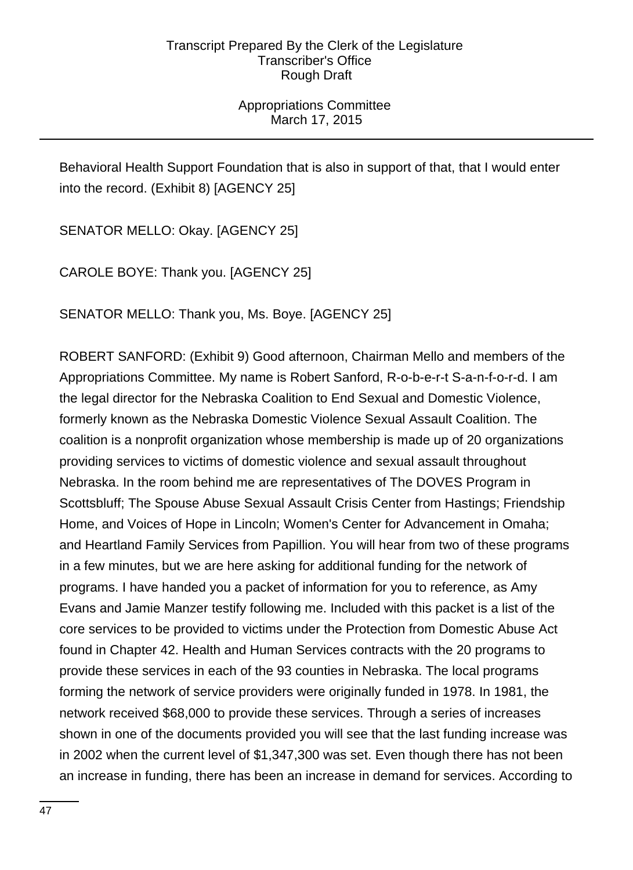# Appropriations Committee March 17, 2015

Behavioral Health Support Foundation that is also in support of that, that I would enter into the record. (Exhibit 8) [AGENCY 25]

SENATOR MELLO: Okay. [AGENCY 25]

CAROLE BOYE: Thank you. [AGENCY 25]

SENATOR MELLO: Thank you, Ms. Boye. [AGENCY 25]

ROBERT SANFORD: (Exhibit 9) Good afternoon, Chairman Mello and members of the Appropriations Committee. My name is Robert Sanford, R-o-b-e-r-t S-a-n-f-o-r-d. I am the legal director for the Nebraska Coalition to End Sexual and Domestic Violence, formerly known as the Nebraska Domestic Violence Sexual Assault Coalition. The coalition is a nonprofit organization whose membership is made up of 20 organizations providing services to victims of domestic violence and sexual assault throughout Nebraska. In the room behind me are representatives of The DOVES Program in Scottsbluff; The Spouse Abuse Sexual Assault Crisis Center from Hastings; Friendship Home, and Voices of Hope in Lincoln; Women's Center for Advancement in Omaha; and Heartland Family Services from Papillion. You will hear from two of these programs in a few minutes, but we are here asking for additional funding for the network of programs. I have handed you a packet of information for you to reference, as Amy Evans and Jamie Manzer testify following me. Included with this packet is a list of the core services to be provided to victims under the Protection from Domestic Abuse Act found in Chapter 42. Health and Human Services contracts with the 20 programs to provide these services in each of the 93 counties in Nebraska. The local programs forming the network of service providers were originally funded in 1978. In 1981, the network received \$68,000 to provide these services. Through a series of increases shown in one of the documents provided you will see that the last funding increase was in 2002 when the current level of \$1,347,300 was set. Even though there has not been an increase in funding, there has been an increase in demand for services. According to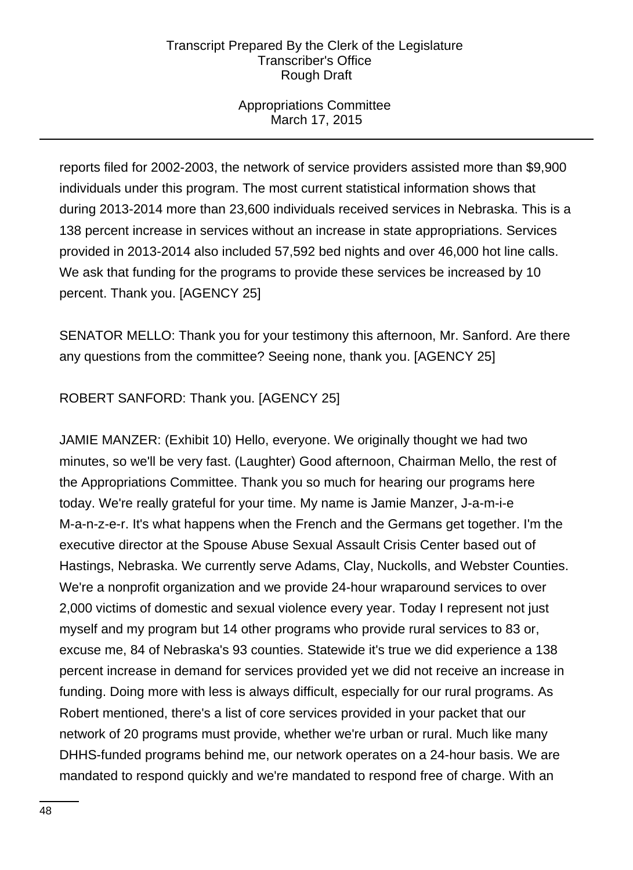# Appropriations Committee March 17, 2015

reports filed for 2002-2003, the network of service providers assisted more than \$9,900 individuals under this program. The most current statistical information shows that during 2013-2014 more than 23,600 individuals received services in Nebraska. This is a 138 percent increase in services without an increase in state appropriations. Services provided in 2013-2014 also included 57,592 bed nights and over 46,000 hot line calls. We ask that funding for the programs to provide these services be increased by 10 percent. Thank you. [AGENCY 25]

SENATOR MELLO: Thank you for your testimony this afternoon, Mr. Sanford. Are there any questions from the committee? Seeing none, thank you. [AGENCY 25]

# ROBERT SANFORD: Thank you. [AGENCY 25]

JAMIE MANZER: (Exhibit 10) Hello, everyone. We originally thought we had two minutes, so we'll be very fast. (Laughter) Good afternoon, Chairman Mello, the rest of the Appropriations Committee. Thank you so much for hearing our programs here today. We're really grateful for your time. My name is Jamie Manzer, J-a-m-i-e M-a-n-z-e-r. It's what happens when the French and the Germans get together. I'm the executive director at the Spouse Abuse Sexual Assault Crisis Center based out of Hastings, Nebraska. We currently serve Adams, Clay, Nuckolls, and Webster Counties. We're a nonprofit organization and we provide 24-hour wraparound services to over 2,000 victims of domestic and sexual violence every year. Today I represent not just myself and my program but 14 other programs who provide rural services to 83 or, excuse me, 84 of Nebraska's 93 counties. Statewide it's true we did experience a 138 percent increase in demand for services provided yet we did not receive an increase in funding. Doing more with less is always difficult, especially for our rural programs. As Robert mentioned, there's a list of core services provided in your packet that our network of 20 programs must provide, whether we're urban or rural. Much like many DHHS-funded programs behind me, our network operates on a 24-hour basis. We are mandated to respond quickly and we're mandated to respond free of charge. With an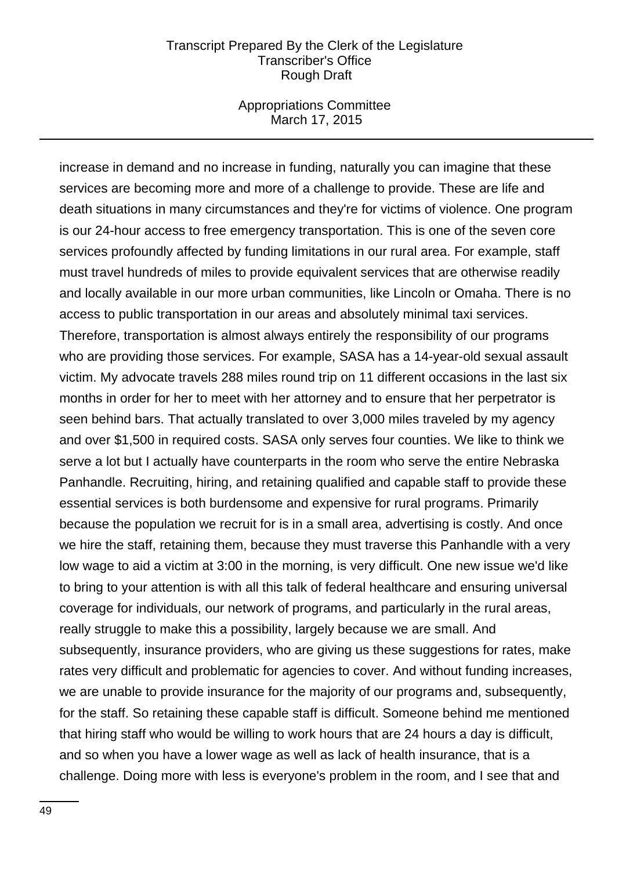#### Appropriations Committee March 17, 2015

increase in demand and no increase in funding, naturally you can imagine that these services are becoming more and more of a challenge to provide. These are life and death situations in many circumstances and they're for victims of violence. One program is our 24-hour access to free emergency transportation. This is one of the seven core services profoundly affected by funding limitations in our rural area. For example, staff must travel hundreds of miles to provide equivalent services that are otherwise readily and locally available in our more urban communities, like Lincoln or Omaha. There is no access to public transportation in our areas and absolutely minimal taxi services. Therefore, transportation is almost always entirely the responsibility of our programs who are providing those services. For example, SASA has a 14-year-old sexual assault victim. My advocate travels 288 miles round trip on 11 different occasions in the last six months in order for her to meet with her attorney and to ensure that her perpetrator is seen behind bars. That actually translated to over 3,000 miles traveled by my agency and over \$1,500 in required costs. SASA only serves four counties. We like to think we serve a lot but I actually have counterparts in the room who serve the entire Nebraska Panhandle. Recruiting, hiring, and retaining qualified and capable staff to provide these essential services is both burdensome and expensive for rural programs. Primarily because the population we recruit for is in a small area, advertising is costly. And once we hire the staff, retaining them, because they must traverse this Panhandle with a very low wage to aid a victim at 3:00 in the morning, is very difficult. One new issue we'd like to bring to your attention is with all this talk of federal healthcare and ensuring universal coverage for individuals, our network of programs, and particularly in the rural areas, really struggle to make this a possibility, largely because we are small. And subsequently, insurance providers, who are giving us these suggestions for rates, make rates very difficult and problematic for agencies to cover. And without funding increases, we are unable to provide insurance for the majority of our programs and, subsequently, for the staff. So retaining these capable staff is difficult. Someone behind me mentioned that hiring staff who would be willing to work hours that are 24 hours a day is difficult, and so when you have a lower wage as well as lack of health insurance, that is a challenge. Doing more with less is everyone's problem in the room, and I see that and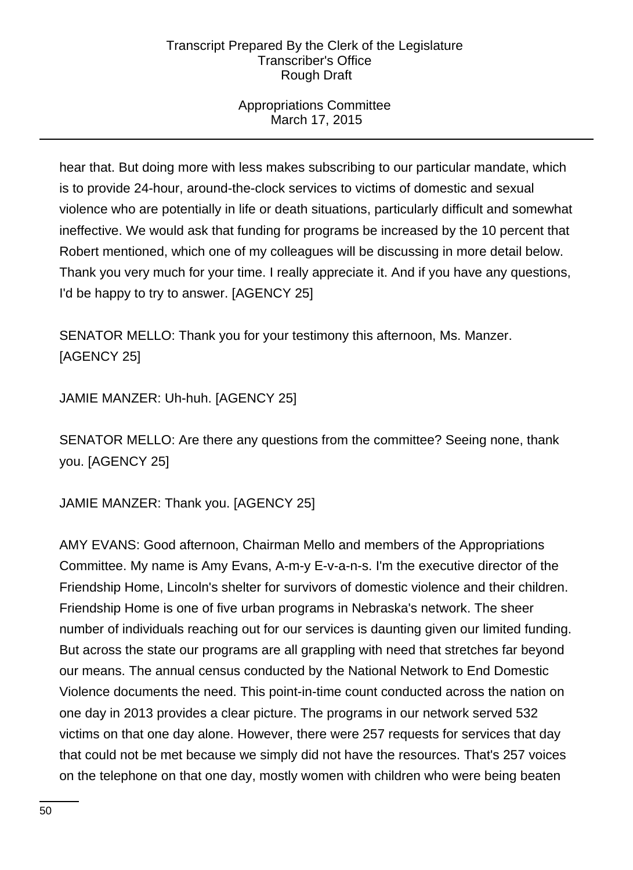# Appropriations Committee March 17, 2015

hear that. But doing more with less makes subscribing to our particular mandate, which is to provide 24-hour, around-the-clock services to victims of domestic and sexual violence who are potentially in life or death situations, particularly difficult and somewhat ineffective. We would ask that funding for programs be increased by the 10 percent that Robert mentioned, which one of my colleagues will be discussing in more detail below. Thank you very much for your time. I really appreciate it. And if you have any questions, I'd be happy to try to answer. [AGENCY 25]

SENATOR MELLO: Thank you for your testimony this afternoon, Ms. Manzer. [AGENCY 25]

JAMIE MANZER: Uh-huh. [AGENCY 25]

SENATOR MELLO: Are there any questions from the committee? Seeing none, thank you. [AGENCY 25]

JAMIE MANZER: Thank you. [AGENCY 25]

AMY EVANS: Good afternoon, Chairman Mello and members of the Appropriations Committee. My name is Amy Evans, A-m-y E-v-a-n-s. I'm the executive director of the Friendship Home, Lincoln's shelter for survivors of domestic violence and their children. Friendship Home is one of five urban programs in Nebraska's network. The sheer number of individuals reaching out for our services is daunting given our limited funding. But across the state our programs are all grappling with need that stretches far beyond our means. The annual census conducted by the National Network to End Domestic Violence documents the need. This point-in-time count conducted across the nation on one day in 2013 provides a clear picture. The programs in our network served 532 victims on that one day alone. However, there were 257 requests for services that day that could not be met because we simply did not have the resources. That's 257 voices on the telephone on that one day, mostly women with children who were being beaten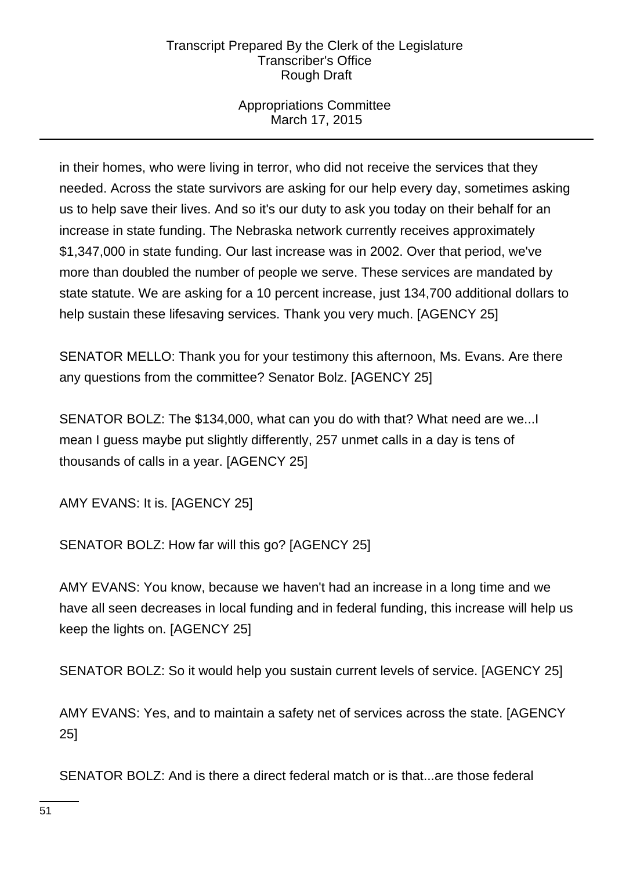# Appropriations Committee March 17, 2015

in their homes, who were living in terror, who did not receive the services that they needed. Across the state survivors are asking for our help every day, sometimes asking us to help save their lives. And so it's our duty to ask you today on their behalf for an increase in state funding. The Nebraska network currently receives approximately \$1,347,000 in state funding. Our last increase was in 2002. Over that period, we've more than doubled the number of people we serve. These services are mandated by state statute. We are asking for a 10 percent increase, just 134,700 additional dollars to help sustain these lifesaving services. Thank you very much. [AGENCY 25]

SENATOR MELLO: Thank you for your testimony this afternoon, Ms. Evans. Are there any questions from the committee? Senator Bolz. [AGENCY 25]

SENATOR BOLZ: The \$134,000, what can you do with that? What need are we...I mean I guess maybe put slightly differently, 257 unmet calls in a day is tens of thousands of calls in a year. [AGENCY 25]

AMY EVANS: It is. [AGENCY 25]

SENATOR BOLZ: How far will this go? [AGENCY 25]

AMY EVANS: You know, because we haven't had an increase in a long time and we have all seen decreases in local funding and in federal funding, this increase will help us keep the lights on. [AGENCY 25]

SENATOR BOLZ: So it would help you sustain current levels of service. [AGENCY 25]

AMY EVANS: Yes, and to maintain a safety net of services across the state. [AGENCY 25]

SENATOR BOLZ: And is there a direct federal match or is that...are those federal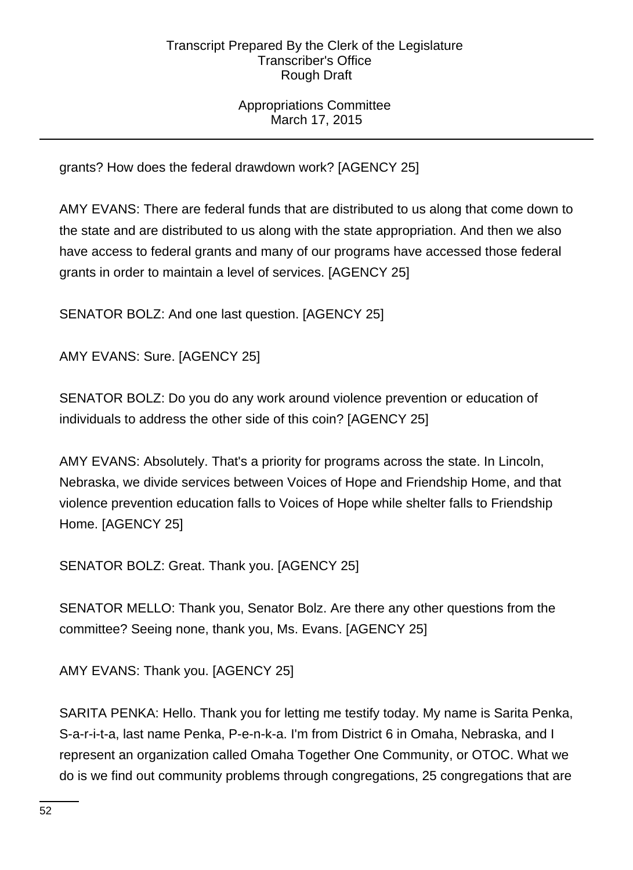# Appropriations Committee March 17, 2015

grants? How does the federal drawdown work? [AGENCY 25]

AMY EVANS: There are federal funds that are distributed to us along that come down to the state and are distributed to us along with the state appropriation. And then we also have access to federal grants and many of our programs have accessed those federal grants in order to maintain a level of services. [AGENCY 25]

SENATOR BOLZ: And one last question. [AGENCY 25]

AMY EVANS: Sure. [AGENCY 25]

SENATOR BOLZ: Do you do any work around violence prevention or education of individuals to address the other side of this coin? [AGENCY 25]

AMY EVANS: Absolutely. That's a priority for programs across the state. In Lincoln, Nebraska, we divide services between Voices of Hope and Friendship Home, and that violence prevention education falls to Voices of Hope while shelter falls to Friendship Home. [AGENCY 25]

SENATOR BOLZ: Great. Thank you. [AGENCY 25]

SENATOR MELLO: Thank you, Senator Bolz. Are there any other questions from the committee? Seeing none, thank you, Ms. Evans. [AGENCY 25]

AMY EVANS: Thank you. [AGENCY 25]

SARITA PENKA: Hello. Thank you for letting me testify today. My name is Sarita Penka, S-a-r-i-t-a, last name Penka, P-e-n-k-a. I'm from District 6 in Omaha, Nebraska, and I represent an organization called Omaha Together One Community, or OTOC. What we do is we find out community problems through congregations, 25 congregations that are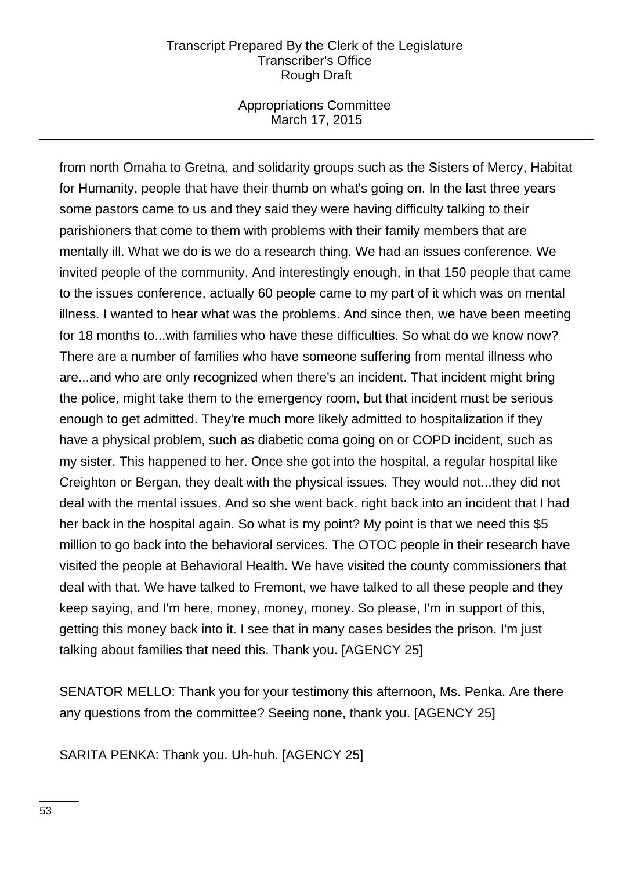## Appropriations Committee March 17, 2015

from north Omaha to Gretna, and solidarity groups such as the Sisters of Mercy, Habitat for Humanity, people that have their thumb on what's going on. In the last three years some pastors came to us and they said they were having difficulty talking to their parishioners that come to them with problems with their family members that are mentally ill. What we do is we do a research thing. We had an issues conference. We invited people of the community. And interestingly enough, in that 150 people that came to the issues conference, actually 60 people came to my part of it which was on mental illness. I wanted to hear what was the problems. And since then, we have been meeting for 18 months to...with families who have these difficulties. So what do we know now? There are a number of families who have someone suffering from mental illness who are...and who are only recognized when there's an incident. That incident might bring the police, might take them to the emergency room, but that incident must be serious enough to get admitted. They're much more likely admitted to hospitalization if they have a physical problem, such as diabetic coma going on or COPD incident, such as my sister. This happened to her. Once she got into the hospital, a regular hospital like Creighton or Bergan, they dealt with the physical issues. They would not...they did not deal with the mental issues. And so she went back, right back into an incident that I had her back in the hospital again. So what is my point? My point is that we need this \$5 million to go back into the behavioral services. The OTOC people in their research have visited the people at Behavioral Health. We have visited the county commissioners that deal with that. We have talked to Fremont, we have talked to all these people and they keep saying, and I'm here, money, money, money. So please, I'm in support of this, getting this money back into it. I see that in many cases besides the prison. I'm just talking about families that need this. Thank you. [AGENCY 25]

SENATOR MELLO: Thank you for your testimony this afternoon, Ms. Penka. Are there any questions from the committee? Seeing none, thank you. [AGENCY 25]

SARITA PENKA: Thank you. Uh-huh. [AGENCY 25]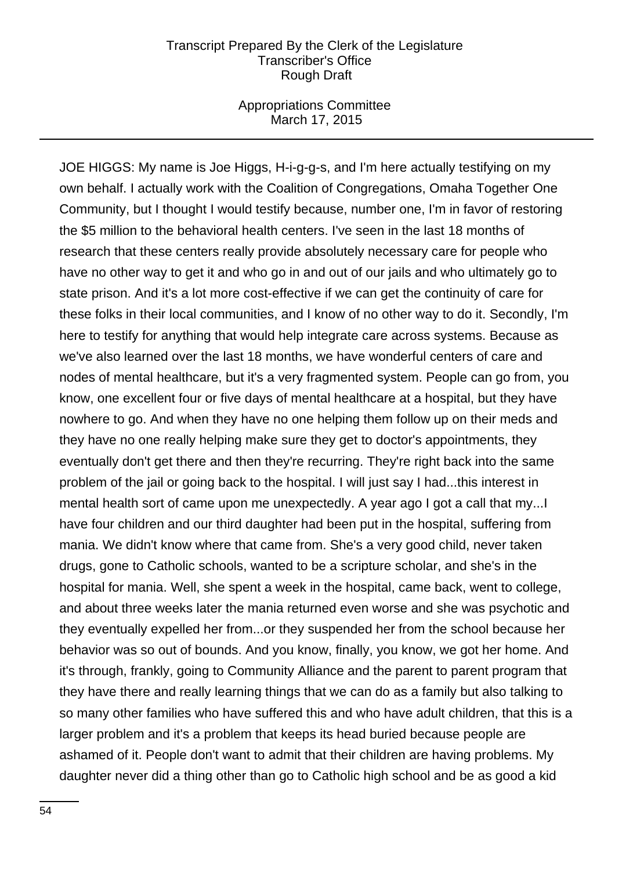#### Appropriations Committee March 17, 2015

JOE HIGGS: My name is Joe Higgs, H-i-g-g-s, and I'm here actually testifying on my own behalf. I actually work with the Coalition of Congregations, Omaha Together One Community, but I thought I would testify because, number one, I'm in favor of restoring the \$5 million to the behavioral health centers. I've seen in the last 18 months of research that these centers really provide absolutely necessary care for people who have no other way to get it and who go in and out of our jails and who ultimately go to state prison. And it's a lot more cost-effective if we can get the continuity of care for these folks in their local communities, and I know of no other way to do it. Secondly, I'm here to testify for anything that would help integrate care across systems. Because as we've also learned over the last 18 months, we have wonderful centers of care and nodes of mental healthcare, but it's a very fragmented system. People can go from, you know, one excellent four or five days of mental healthcare at a hospital, but they have nowhere to go. And when they have no one helping them follow up on their meds and they have no one really helping make sure they get to doctor's appointments, they eventually don't get there and then they're recurring. They're right back into the same problem of the jail or going back to the hospital. I will just say I had...this interest in mental health sort of came upon me unexpectedly. A year ago I got a call that my...I have four children and our third daughter had been put in the hospital, suffering from mania. We didn't know where that came from. She's a very good child, never taken drugs, gone to Catholic schools, wanted to be a scripture scholar, and she's in the hospital for mania. Well, she spent a week in the hospital, came back, went to college, and about three weeks later the mania returned even worse and she was psychotic and they eventually expelled her from...or they suspended her from the school because her behavior was so out of bounds. And you know, finally, you know, we got her home. And it's through, frankly, going to Community Alliance and the parent to parent program that they have there and really learning things that we can do as a family but also talking to so many other families who have suffered this and who have adult children, that this is a larger problem and it's a problem that keeps its head buried because people are ashamed of it. People don't want to admit that their children are having problems. My daughter never did a thing other than go to Catholic high school and be as good a kid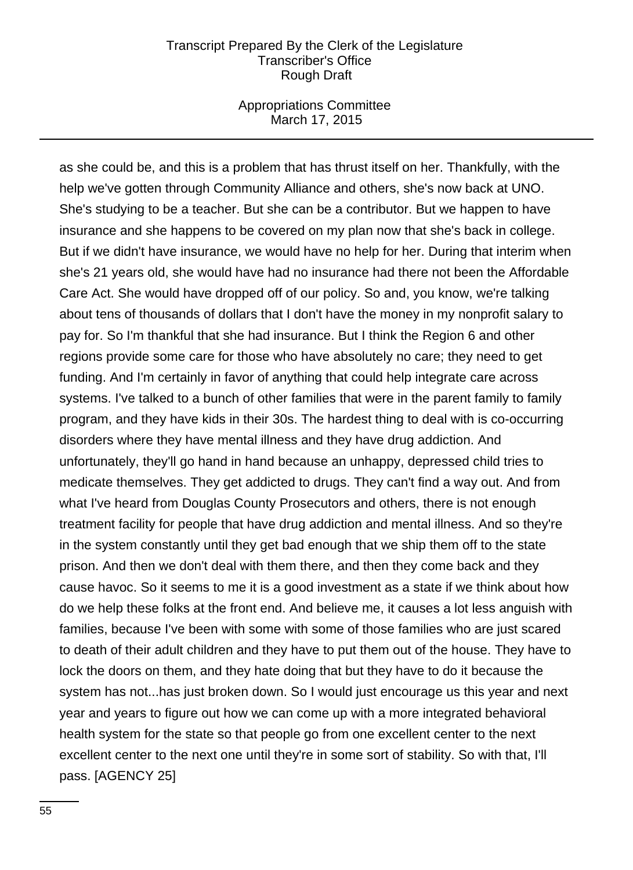#### Appropriations Committee March 17, 2015

as she could be, and this is a problem that has thrust itself on her. Thankfully, with the help we've gotten through Community Alliance and others, she's now back at UNO. She's studying to be a teacher. But she can be a contributor. But we happen to have insurance and she happens to be covered on my plan now that she's back in college. But if we didn't have insurance, we would have no help for her. During that interim when she's 21 years old, she would have had no insurance had there not been the Affordable Care Act. She would have dropped off of our policy. So and, you know, we're talking about tens of thousands of dollars that I don't have the money in my nonprofit salary to pay for. So I'm thankful that she had insurance. But I think the Region 6 and other regions provide some care for those who have absolutely no care; they need to get funding. And I'm certainly in favor of anything that could help integrate care across systems. I've talked to a bunch of other families that were in the parent family to family program, and they have kids in their 30s. The hardest thing to deal with is co-occurring disorders where they have mental illness and they have drug addiction. And unfortunately, they'll go hand in hand because an unhappy, depressed child tries to medicate themselves. They get addicted to drugs. They can't find a way out. And from what I've heard from Douglas County Prosecutors and others, there is not enough treatment facility for people that have drug addiction and mental illness. And so they're in the system constantly until they get bad enough that we ship them off to the state prison. And then we don't deal with them there, and then they come back and they cause havoc. So it seems to me it is a good investment as a state if we think about how do we help these folks at the front end. And believe me, it causes a lot less anguish with families, because I've been with some with some of those families who are just scared to death of their adult children and they have to put them out of the house. They have to lock the doors on them, and they hate doing that but they have to do it because the system has not...has just broken down. So I would just encourage us this year and next year and years to figure out how we can come up with a more integrated behavioral health system for the state so that people go from one excellent center to the next excellent center to the next one until they're in some sort of stability. So with that, I'll pass. [AGENCY 25]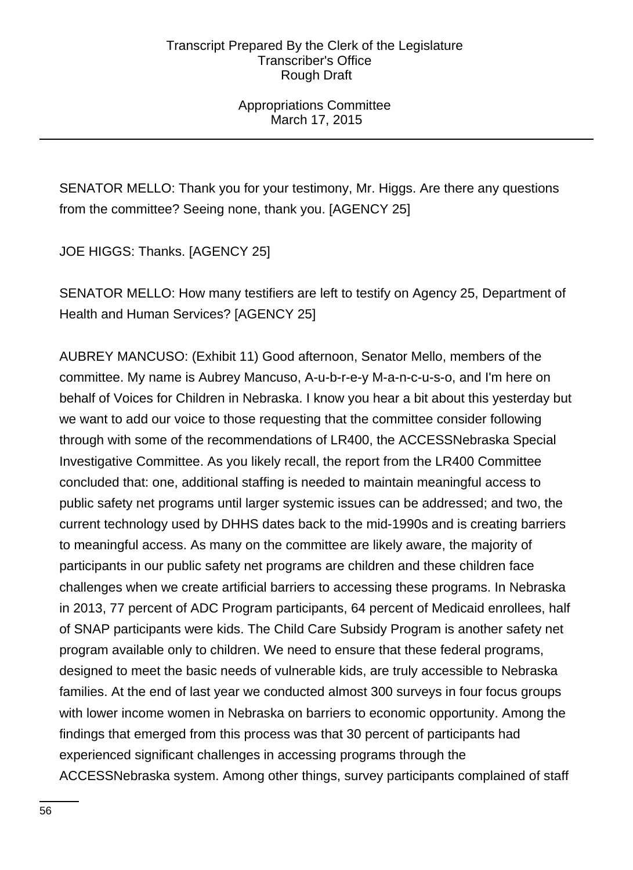Appropriations Committee March 17, 2015

SENATOR MELLO: Thank you for your testimony, Mr. Higgs. Are there any questions from the committee? Seeing none, thank you. [AGENCY 25]

JOE HIGGS: Thanks. [AGENCY 25]

SENATOR MELLO: How many testifiers are left to testify on Agency 25, Department of Health and Human Services? [AGENCY 25]

AUBREY MANCUSO: (Exhibit 11) Good afternoon, Senator Mello, members of the committee. My name is Aubrey Mancuso, A-u-b-r-e-y M-a-n-c-u-s-o, and I'm here on behalf of Voices for Children in Nebraska. I know you hear a bit about this yesterday but we want to add our voice to those requesting that the committee consider following through with some of the recommendations of LR400, the ACCESSNebraska Special Investigative Committee. As you likely recall, the report from the LR400 Committee concluded that: one, additional staffing is needed to maintain meaningful access to public safety net programs until larger systemic issues can be addressed; and two, the current technology used by DHHS dates back to the mid-1990s and is creating barriers to meaningful access. As many on the committee are likely aware, the majority of participants in our public safety net programs are children and these children face challenges when we create artificial barriers to accessing these programs. In Nebraska in 2013, 77 percent of ADC Program participants, 64 percent of Medicaid enrollees, half of SNAP participants were kids. The Child Care Subsidy Program is another safety net program available only to children. We need to ensure that these federal programs, designed to meet the basic needs of vulnerable kids, are truly accessible to Nebraska families. At the end of last year we conducted almost 300 surveys in four focus groups with lower income women in Nebraska on barriers to economic opportunity. Among the findings that emerged from this process was that 30 percent of participants had experienced significant challenges in accessing programs through the ACCESSNebraska system. Among other things, survey participants complained of staff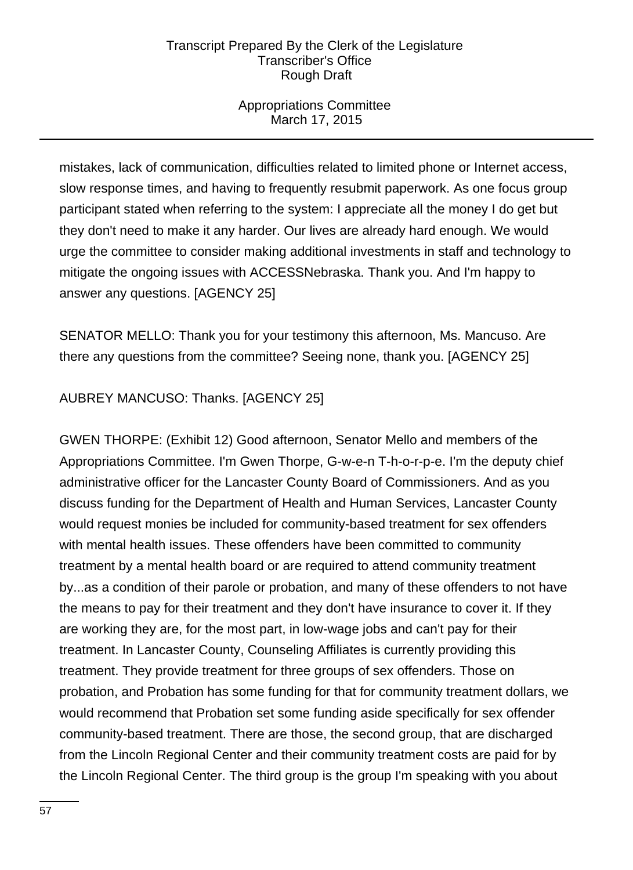# Appropriations Committee March 17, 2015

mistakes, lack of communication, difficulties related to limited phone or Internet access, slow response times, and having to frequently resubmit paperwork. As one focus group participant stated when referring to the system: I appreciate all the money I do get but they don't need to make it any harder. Our lives are already hard enough. We would urge the committee to consider making additional investments in staff and technology to mitigate the ongoing issues with ACCESSNebraska. Thank you. And I'm happy to answer any questions. [AGENCY 25]

SENATOR MELLO: Thank you for your testimony this afternoon, Ms. Mancuso. Are there any questions from the committee? Seeing none, thank you. [AGENCY 25]

# AUBREY MANCUSO: Thanks. [AGENCY 25]

GWEN THORPE: (Exhibit 12) Good afternoon, Senator Mello and members of the Appropriations Committee. I'm Gwen Thorpe, G-w-e-n T-h-o-r-p-e. I'm the deputy chief administrative officer for the Lancaster County Board of Commissioners. And as you discuss funding for the Department of Health and Human Services, Lancaster County would request monies be included for community-based treatment for sex offenders with mental health issues. These offenders have been committed to community treatment by a mental health board or are required to attend community treatment by...as a condition of their parole or probation, and many of these offenders to not have the means to pay for their treatment and they don't have insurance to cover it. If they are working they are, for the most part, in low-wage jobs and can't pay for their treatment. In Lancaster County, Counseling Affiliates is currently providing this treatment. They provide treatment for three groups of sex offenders. Those on probation, and Probation has some funding for that for community treatment dollars, we would recommend that Probation set some funding aside specifically for sex offender community-based treatment. There are those, the second group, that are discharged from the Lincoln Regional Center and their community treatment costs are paid for by the Lincoln Regional Center. The third group is the group I'm speaking with you about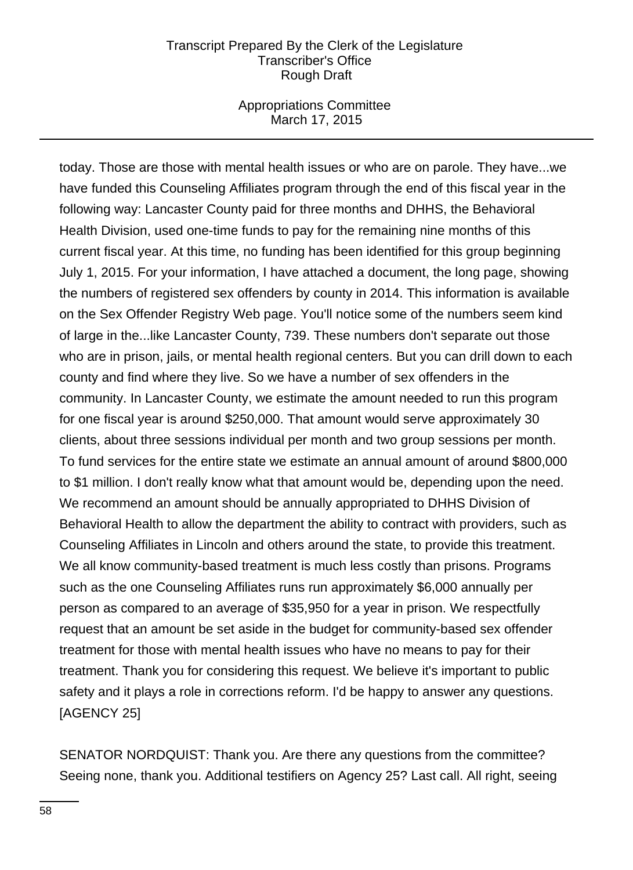### Appropriations Committee March 17, 2015

today. Those are those with mental health issues or who are on parole. They have...we have funded this Counseling Affiliates program through the end of this fiscal year in the following way: Lancaster County paid for three months and DHHS, the Behavioral Health Division, used one-time funds to pay for the remaining nine months of this current fiscal year. At this time, no funding has been identified for this group beginning July 1, 2015. For your information, I have attached a document, the long page, showing the numbers of registered sex offenders by county in 2014. This information is available on the Sex Offender Registry Web page. You'll notice some of the numbers seem kind of large in the...like Lancaster County, 739. These numbers don't separate out those who are in prison, jails, or mental health regional centers. But you can drill down to each county and find where they live. So we have a number of sex offenders in the community. In Lancaster County, we estimate the amount needed to run this program for one fiscal year is around \$250,000. That amount would serve approximately 30 clients, about three sessions individual per month and two group sessions per month. To fund services for the entire state we estimate an annual amount of around \$800,000 to \$1 million. I don't really know what that amount would be, depending upon the need. We recommend an amount should be annually appropriated to DHHS Division of Behavioral Health to allow the department the ability to contract with providers, such as Counseling Affiliates in Lincoln and others around the state, to provide this treatment. We all know community-based treatment is much less costly than prisons. Programs such as the one Counseling Affiliates runs run approximately \$6,000 annually per person as compared to an average of \$35,950 for a year in prison. We respectfully request that an amount be set aside in the budget for community-based sex offender treatment for those with mental health issues who have no means to pay for their treatment. Thank you for considering this request. We believe it's important to public safety and it plays a role in corrections reform. I'd be happy to answer any questions. [AGENCY 25]

SENATOR NORDQUIST: Thank you. Are there any questions from the committee? Seeing none, thank you. Additional testifiers on Agency 25? Last call. All right, seeing